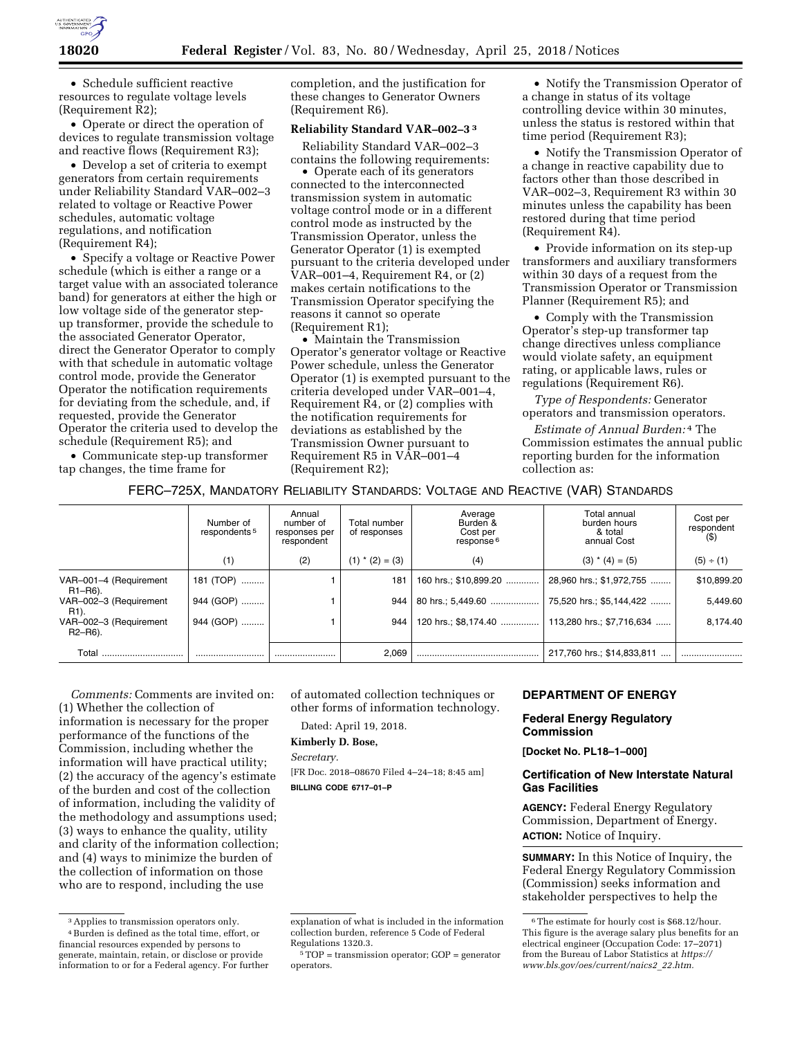

• Schedule sufficient reactive resources to regulate voltage levels (Requirement R2);

• Operate or direct the operation of devices to regulate transmission voltage and reactive flows (Requirement R3);

• Develop a set of criteria to exempt generators from certain requirements under Reliability Standard VAR–002–3 related to voltage or Reactive Power schedules, automatic voltage regulations, and notification (Requirement R4);

• Specify a voltage or Reactive Power schedule (which is either a range or a target value with an associated tolerance band) for generators at either the high or low voltage side of the generator stepup transformer, provide the schedule to the associated Generator Operator, direct the Generator Operator to comply with that schedule in automatic voltage control mode, provide the Generator Operator the notification requirements for deviating from the schedule, and, if requested, provide the Generator Operator the criteria used to develop the schedule (Requirement R5); and

• Communicate step-up transformer tap changes, the time frame for

completion, and the justification for these changes to Generator Owners (Requirement R6).

# **Reliability Standard VAR–002–3 3**

Reliability Standard VAR–002–3 contains the following requirements:

• Operate each of its generators connected to the interconnected transmission system in automatic voltage control mode or in a different control mode as instructed by the Transmission Operator, unless the Generator Operator (1) is exempted pursuant to the criteria developed under VAR–001–4, Requirement R4, or (2) makes certain notifications to the Transmission Operator specifying the reasons it cannot so operate (Requirement R1);

• Maintain the Transmission Operator's generator voltage or Reactive Power schedule, unless the Generator Operator (1) is exempted pursuant to the criteria developed under VAR–001–4, Requirement R4, or (2) complies with the notification requirements for deviations as established by the Transmission Owner pursuant to Requirement R5 in VAR–001–4 (Requirement R2);

• Notify the Transmission Operator of a change in status of its voltage controlling device within 30 minutes, unless the status is restored within that time period (Requirement R3);

• Notify the Transmission Operator of a change in reactive capability due to factors other than those described in VAR–002–3, Requirement R3 within 30 minutes unless the capability has been restored during that time period (Requirement R4).

• Provide information on its step-up transformers and auxiliary transformers within 30 days of a request from the Transmission Operator or Transmission Planner (Requirement R5); and

• Comply with the Transmission Operator's step-up transformer tap change directives unless compliance would violate safety, an equipment rating, or applicable laws, rules or regulations (Requirement R6).

*Type of Respondents:* Generator operators and transmission operators.

*Estimate of Annual Burden:* 4 The Commission estimates the annual public reporting burden for the information collection as:

# FERC–725X, MANDATORY RELIABILITY STANDARDS: VOLTAGE AND REACTIVE (VAR) STANDARDS

|                                                             | Number of<br>respondents <sup>5</sup> | Annual<br>number of<br>responses per<br>respondent | Total number<br>of responses | Average<br>Burden &<br>Cost per<br>response <sup>6</sup> | Total annual<br>burden hours<br>& total<br>annual Cost | Cost per<br>respondent<br>$($ \$ |
|-------------------------------------------------------------|---------------------------------------|----------------------------------------------------|------------------------------|----------------------------------------------------------|--------------------------------------------------------|----------------------------------|
|                                                             | (1)                                   | (2)                                                | $(1)$ * $(2) = (3)$          | (4)                                                      | $(3)$ * $(4) = (5)$                                    | (5) ÷ (1)                        |
| VAR-001-4 (Requirement<br>R1-R6).                           | 181 (TOP)                             |                                                    | 181                          | 160 hrs.; \$10,899.20                                    | 28,960 hrs.; \$1,972,755                               | \$10,899.20                      |
| VAR-002-3 (Requirement<br>R <sub>1</sub> ).                 | 944 (GOP)                             |                                                    | 944                          | 80 hrs.: 5.449.60                                        | 75,520 hrs.; \$5,144,422                               | 5,449.60                         |
| VAR-002-3 (Requirement<br>R <sub>2</sub> -R <sub>6</sub> ). | 944 (GOP)                             |                                                    | 944                          | 120 hrs.; \$8,174.40                                     | 113,280 hrs.; \$7,716,634                              | 8.174.40                         |
| Total                                                       |                                       |                                                    | 2,069                        |                                                          | 217,760 hrs.; \$14,833,811<br>$\cdots$                 |                                  |

*Comments:* Comments are invited on: (1) Whether the collection of information is necessary for the proper performance of the functions of the Commission, including whether the information will have practical utility; (2) the accuracy of the agency's estimate of the burden and cost of the collection of information, including the validity of the methodology and assumptions used; (3) ways to enhance the quality, utility and clarity of the information collection; and (4) ways to minimize the burden of the collection of information on those who are to respond, including the use

of automated collection techniques or other forms of information technology.

Dated: April 19, 2018.

#### **Kimberly D. Bose,**

*Secretary.* 

[FR Doc. 2018–08670 Filed 4–24–18; 8:45 am]

**BILLING CODE 6717–01–P** 

#### **DEPARTMENT OF ENERGY**

## **Federal Energy Regulatory Commission**

**[Docket No. PL18–1–000]** 

#### **Certification of New Interstate Natural Gas Facilities**

**AGENCY:** Federal Energy Regulatory Commission, Department of Energy. **ACTION:** Notice of Inquiry.

**SUMMARY:** In this Notice of Inquiry, the Federal Energy Regulatory Commission (Commission) seeks information and stakeholder perspectives to help the

<sup>3</sup>Applies to transmission operators only. 4Burden is defined as the total time, effort, or financial resources expended by persons to generate, maintain, retain, or disclose or provide information to or for a Federal agency. For further

explanation of what is included in the information collection burden, reference 5 Code of Federal Regulations 1320.3.

<sup>5</sup>TOP = transmission operator; GOP = generator operators.

<sup>6</sup>The estimate for hourly cost is \$68.12/hour. This figure is the average salary plus benefits for an electrical engineer (Occupation Code: 17–2071) from the Bureau of Labor Statistics at *[https://](https://www.bls.gov/oes/current/naics2_22.htm) [www.bls.gov/oes/current/naics2](https://www.bls.gov/oes/current/naics2_22.htm)*\_*22.htm.*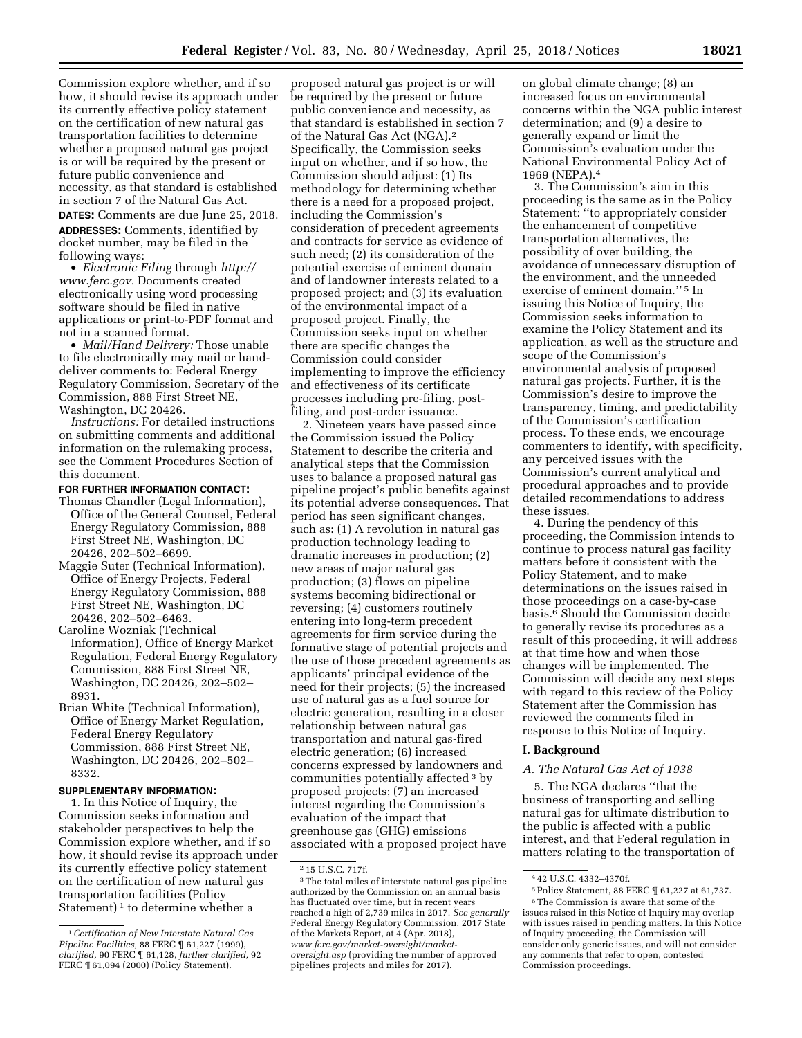Commission explore whether, and if so how, it should revise its approach under its currently effective policy statement on the certification of new natural gas transportation facilities to determine whether a proposed natural gas project is or will be required by the present or future public convenience and necessity, as that standard is established in section 7 of the Natural Gas Act.

**DATES:** Comments are due June 25, 2018. **ADDRESSES:** Comments, identified by docket number, may be filed in the following ways:

• *Electronic Filing* through *[http://](http://www.ferc.gov) [www.ferc.gov.](http://www.ferc.gov)* Documents created electronically using word processing software should be filed in native applications or print-to-PDF format and not in a scanned format.

• *Mail/Hand Delivery:* Those unable to file electronically may mail or handdeliver comments to: Federal Energy Regulatory Commission, Secretary of the Commission, 888 First Street NE, Washington, DC 20426.

*Instructions:* For detailed instructions on submitting comments and additional information on the rulemaking process, see the Comment Procedures Section of this document.

## **FOR FURTHER INFORMATION CONTACT:**

- Thomas Chandler (Legal Information), Office of the General Counsel, Federal Energy Regulatory Commission, 888 First Street NE, Washington, DC 20426, 202–502–6699.
- Maggie Suter (Technical Information), Office of Energy Projects, Federal Energy Regulatory Commission, 888 First Street NE, Washington, DC 20426, 202–502–6463.
- Caroline Wozniak (Technical Information), Office of Energy Market Regulation, Federal Energy Regulatory Commission, 888 First Street NE, Washington, DC 20426, 202–502– 8931.
- Brian White (Technical Information), Office of Energy Market Regulation, Federal Energy Regulatory Commission, 888 First Street NE, Washington, DC 20426, 202–502– 8332.

#### **SUPPLEMENTARY INFORMATION:**

1. In this Notice of Inquiry, the Commission seeks information and stakeholder perspectives to help the Commission explore whether, and if so how, it should revise its approach under its currently effective policy statement on the certification of new natural gas transportation facilities (Policy Statement)<sup>1</sup> to determine whether a

proposed natural gas project is or will be required by the present or future public convenience and necessity, as that standard is established in section 7 of the Natural Gas Act (NGA).2 Specifically, the Commission seeks input on whether, and if so how, the Commission should adjust: (1) Its methodology for determining whether there is a need for a proposed project, including the Commission's consideration of precedent agreements and contracts for service as evidence of such need; (2) its consideration of the potential exercise of eminent domain and of landowner interests related to a proposed project; and (3) its evaluation of the environmental impact of a proposed project. Finally, the Commission seeks input on whether there are specific changes the Commission could consider implementing to improve the efficiency and effectiveness of its certificate processes including pre-filing, postfiling, and post-order issuance.

2. Nineteen years have passed since the Commission issued the Policy Statement to describe the criteria and analytical steps that the Commission uses to balance a proposed natural gas pipeline project's public benefits against its potential adverse consequences. That period has seen significant changes, such as: (1) A revolution in natural gas production technology leading to dramatic increases in production; (2) new areas of major natural gas production; (3) flows on pipeline systems becoming bidirectional or reversing; (4) customers routinely entering into long-term precedent agreements for firm service during the formative stage of potential projects and the use of those precedent agreements as applicants' principal evidence of the need for their projects; (5) the increased use of natural gas as a fuel source for electric generation, resulting in a closer relationship between natural gas transportation and natural gas-fired electric generation; (6) increased concerns expressed by landowners and communities potentially affected 3 by proposed projects; (7) an increased interest regarding the Commission's evaluation of the impact that greenhouse gas (GHG) emissions associated with a proposed project have

on global climate change; (8) an increased focus on environmental concerns within the NGA public interest determination; and (9) a desire to generally expand or limit the Commission's evaluation under the National Environmental Policy Act of 1969 (NEPA).4

3. The Commission's aim in this proceeding is the same as in the Policy Statement: "to appropriately consider the enhancement of competitive transportation alternatives, the possibility of over building, the avoidance of unnecessary disruption of the environment, and the unneeded exercise of eminent domain.'' 5 In issuing this Notice of Inquiry, the Commission seeks information to examine the Policy Statement and its application, as well as the structure and scope of the Commission's environmental analysis of proposed natural gas projects. Further, it is the Commission's desire to improve the transparency, timing, and predictability of the Commission's certification process. To these ends, we encourage commenters to identify, with specificity, any perceived issues with the Commission's current analytical and procedural approaches and to provide detailed recommendations to address these issues.

4. During the pendency of this proceeding, the Commission intends to continue to process natural gas facility matters before it consistent with the Policy Statement, and to make determinations on the issues raised in those proceedings on a case-by-case basis.6 Should the Commission decide to generally revise its procedures as a result of this proceeding, it will address at that time how and when those changes will be implemented. The Commission will decide any next steps with regard to this review of the Policy Statement after the Commission has reviewed the comments filed in response to this Notice of Inquiry.

## **I. Background**

#### *A. The Natural Gas Act of 1938*

5. The NGA declares ''that the business of transporting and selling natural gas for ultimate distribution to the public is affected with a public interest, and that Federal regulation in matters relating to the transportation of

<sup>1</sup>*Certification of New Interstate Natural Gas Pipeline Facilities,* 88 FERC ¶ 61,227 (1999), *clarified,* 90 FERC ¶ 61,128, *further clarified,* 92 FERC ¶ 61,094 (2000) (Policy Statement).

<sup>2</sup> 15 U.S.C. 717f.

<sup>3</sup>The total miles of interstate natural gas pipeline authorized by the Commission on an annual basis has fluctuated over time, but in recent years reached a high of 2,739 miles in 2017. *See generally*  Federal Energy Regulatory Commission, 2017 State of the Markets Report, at 4 (Apr. 2018), *[www.ferc.gov/market-oversight/market](http://www.ferc.gov/market-oversight/market-oversight.asp)[oversight.asp](http://www.ferc.gov/market-oversight/market-oversight.asp)* (providing the number of approved pipelines projects and miles for 2017).

<sup>4</sup> 42 U.S.C. 4332–4370f.

<sup>5</sup>Policy Statement, 88 FERC ¶ 61,227 at 61,737.

<sup>6</sup>The Commission is aware that some of the issues raised in this Notice of Inquiry may overlap with issues raised in pending matters. In this Notice of Inquiry proceeding, the Commission will consider only generic issues, and will not consider any comments that refer to open, contested Commission proceedings.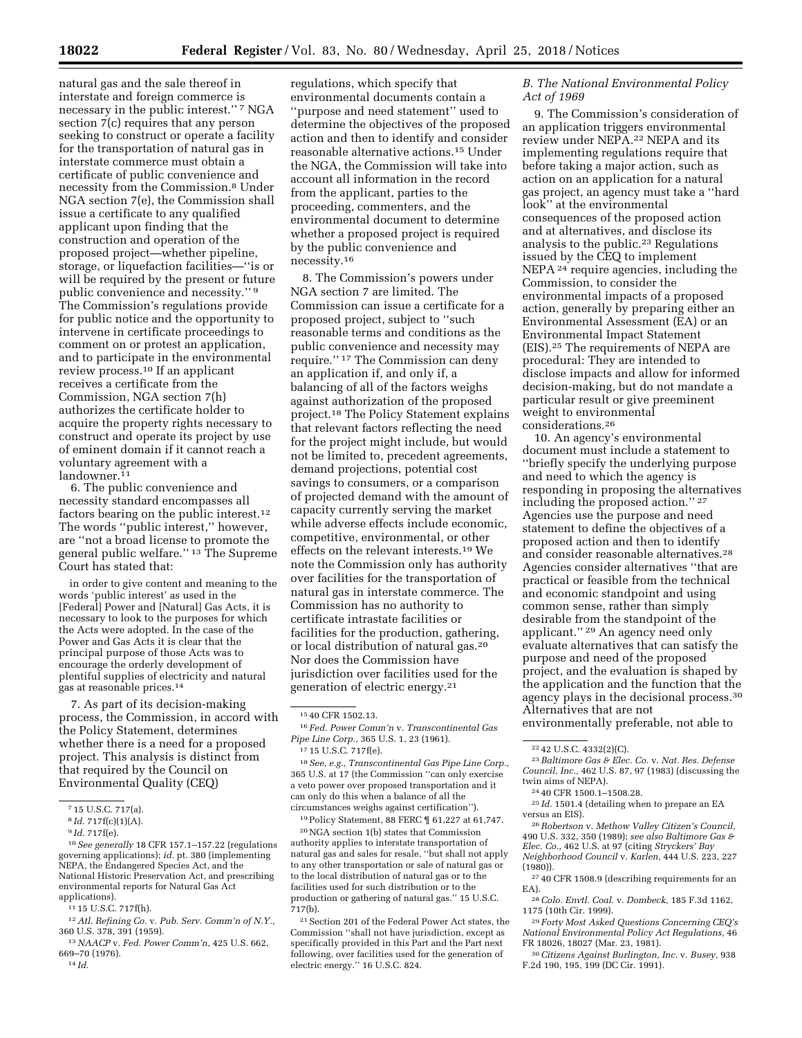natural gas and the sale thereof in interstate and foreign commerce is necessary in the public interest."<sup>7</sup> NGA section 7(c) requires that any person seeking to construct or operate a facility for the transportation of natural gas in interstate commerce must obtain a certificate of public convenience and necessity from the Commission.8 Under NGA section 7(e), the Commission shall issue a certificate to any qualified applicant upon finding that the construction and operation of the proposed project—whether pipeline, storage, or liquefaction facilities—''is or will be required by the present or future public convenience and necessity.'' 9 The Commission's regulations provide for public notice and the opportunity to intervene in certificate proceedings to comment on or protest an application, and to participate in the environmental review process.10 If an applicant receives a certificate from the Commission, NGA section 7(h) authorizes the certificate holder to acquire the property rights necessary to construct and operate its project by use of eminent domain if it cannot reach a voluntary agreement with a landowner.<sup>11</sup>

6. The public convenience and necessity standard encompasses all factors bearing on the public interest.12 The words ''public interest,'' however, are ''not a broad license to promote the general public welfare.'' 13 The Supreme Court has stated that:

in order to give content and meaning to the words 'public interest' as used in the [Federal] Power and [Natural] Gas Acts, it is necessary to look to the purposes for which the Acts were adopted. In the case of the Power and Gas Acts it is clear that the principal purpose of those Acts was to encourage the orderly development of plentiful supplies of electricity and natural gas at reasonable prices.14

7. As part of its decision-making process, the Commission, in accord with the Policy Statement, determines whether there is a need for a proposed project. This analysis is distinct from that required by the Council on Environmental Quality (CEQ)

14 *Id.* 

regulations, which specify that environmental documents contain a ''purpose and need statement'' used to determine the objectives of the proposed action and then to identify and consider reasonable alternative actions.15 Under the NGA, the Commission will take into account all information in the record from the applicant, parties to the proceeding, commenters, and the environmental document to determine whether a proposed project is required by the public convenience and necessity.16

8. The Commission's powers under NGA section 7 are limited. The Commission can issue a certificate for a proposed project, subject to ''such reasonable terms and conditions as the public convenience and necessity may require.'' 17 The Commission can deny an application if, and only if, a balancing of all of the factors weighs against authorization of the proposed project.18 The Policy Statement explains that relevant factors reflecting the need for the project might include, but would not be limited to, precedent agreements, demand projections, potential cost savings to consumers, or a comparison of projected demand with the amount of capacity currently serving the market while adverse effects include economic, competitive, environmental, or other effects on the relevant interests.19 We note the Commission only has authority over facilities for the transportation of natural gas in interstate commerce. The Commission has no authority to certificate intrastate facilities or facilities for the production, gathering, or local distribution of natural gas.20 Nor does the Commission have jurisdiction over facilities used for the generation of electric energy.21

16 *Fed. Power Comm'n* v. *Transcontinental Gas Pipe Line Corp.,* 365 U.S. 1, 23 (1961).

18*See, e.g., Transcontinental Gas Pipe Line Corp.,*  365 U.S. at 17 (the Commission ''can only exercise a veto power over proposed transportation and it can only do this when a balance of all the circumstances weighs against certification'').

19Policy Statement, 88 FERC ¶ 61,227 at 61,747.

20NGA section 1(b) states that Commission authority applies to interstate transportation of natural gas and sales for resale, ''but shall not apply to any other transportation or sale of natural gas or to the local distribution of natural gas or to the facilities used for such distribution or to the production or gathering of natural gas.'' 15 U.S.C. 717(b).

21Section 201 of the Federal Power Act states, the Commission ''shall not have jurisdiction, except as specifically provided in this Part and the Part next following, over facilities used for the generation of electric energy.'' 16 U.S.C. 824.

# *B. The National Environmental Policy Act of 1969*

9. The Commission's consideration of an application triggers environmental review under NEPA.22 NEPA and its implementing regulations require that before taking a major action, such as action on an application for a natural gas project, an agency must take a ''hard look'' at the environmental consequences of the proposed action and at alternatives, and disclose its analysis to the public.23 Regulations issued by the CEQ to implement NEPA 24 require agencies, including the Commission, to consider the environmental impacts of a proposed action, generally by preparing either an Environmental Assessment (EA) or an Environmental Impact Statement (EIS).25 The requirements of NEPA are procedural: They are intended to disclose impacts and allow for informed decision-making, but do not mandate a particular result or give preeminent weight to environmental considerations.26

10. An agency's environmental document must include a statement to ''briefly specify the underlying purpose and need to which the agency is responding in proposing the alternatives including the proposed action.'' 27 Agencies use the purpose and need statement to define the objectives of a proposed action and then to identify and consider reasonable alternatives.28 Agencies consider alternatives ''that are practical or feasible from the technical and economic standpoint and using common sense, rather than simply desirable from the standpoint of the applicant.'' 29 An agency need only evaluate alternatives that can satisfy the purpose and need of the proposed project, and the evaluation is shaped by the application and the function that the agency plays in the decisional process.30 Alternatives that are not

environmentally preferable, not able to

<sup>22</sup> 42 U.S.C. 4332(2)(C). 23*Baltimore Gas & Elec. Co.* v. *Nat. Res. Defense Council, Inc.,* 462 U.S. 87, 97 (1983) (discussing the

<sup>24</sup> 40 CFR 1500.1–1508.28.<br><sup>25</sup> *Id.* 1501.4 (detailing when to prepare an EA versus an EIS). 26*Robertson* v. *Methow Valley Citizen's Council,* 

490 U.S. 332, 350 (1989); *see also Baltimore Gas & Elec. Co.,* 462 U.S. at 97 (citing *Stryckers' Bay Neighborhood Council* v. *Karlen,* 444 U.S. 223, 227

(1980)).<br> $27\,40$  CFR 1508.9 (describing requirements for an EA).

28*Colo. Envtl. Coal.* v. *Dombeck,* 185 F.3d 1162, 1175 (10th Cir. 1999).

29 *Forty Most Asked Questions Concerning CEQ's National Environmental Policy Act Regulations,* 46 FR 18026, 18027 (Mar. 23, 1981).

30*Citizens Against Burlington, Inc.* v. *Busey,* 938 F.2d 190, 195, 199 (DC Cir. 1991).

<sup>7</sup> 15 U.S.C. 717(a).

<sup>8</sup> *Id.* 717f(c)(1)(A).

<sup>9</sup> *Id.* 717f(e).

<sup>10</sup>*See generally* 18 CFR 157.1–157.22 (regulations governing applications); *id.* pt. 380 (implementing NEPA, the Endangered Species Act, and the National Historic Preservation Act, and prescribing environmental reports for Natural Gas Act applications).

<sup>11</sup> 15 U.S.C. 717f(h).

<sup>12</sup>*Atl. Refining Co.* v. *Pub. Serv. Comm'n of N.Y.,*  360 U.S. 378, 391 (1959).

<sup>13</sup>*NAACP* v. *Fed. Power Comm'n,* 425 U.S. 662, 669–70 (1976).

<sup>15</sup> 40 CFR 1502.13.

<sup>17</sup> 15 U.S.C. 717f(e).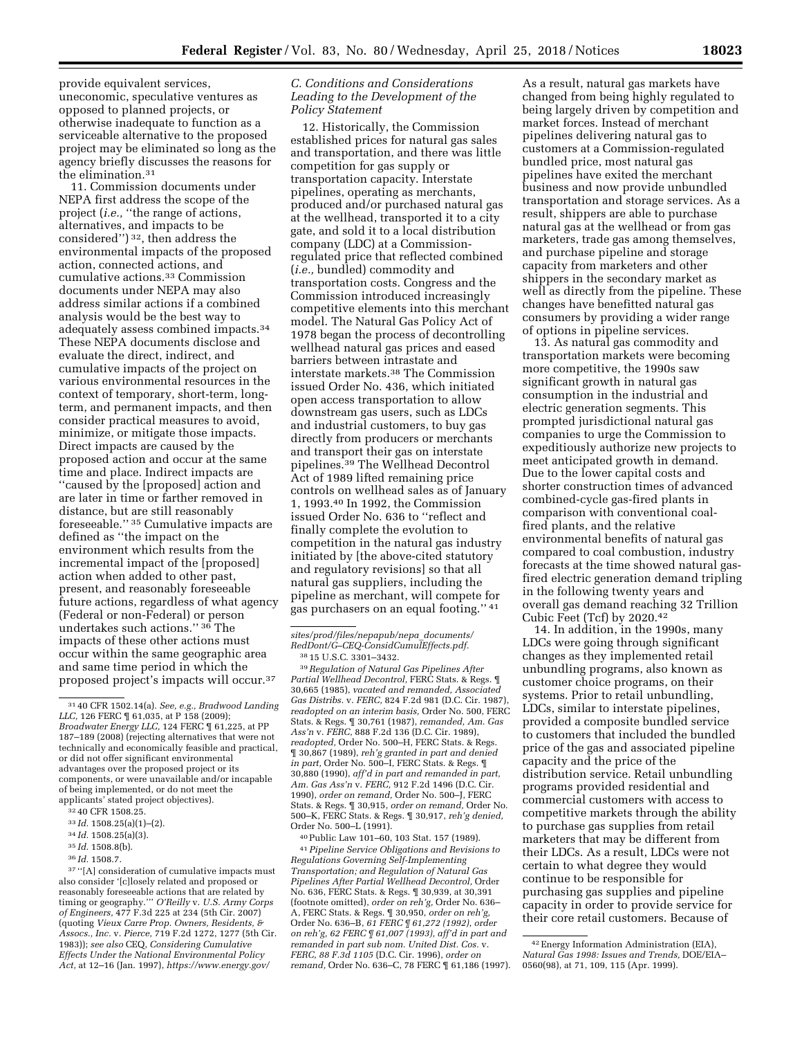provide equivalent services, uneconomic, speculative ventures as opposed to planned projects, or otherwise inadequate to function as a serviceable alternative to the proposed project may be eliminated so long as the agency briefly discusses the reasons for the elimination.31

11. Commission documents under NEPA first address the scope of the project (*i.e.*, "the range of actions, alternatives, and impacts to be considered'') 32, then address the environmental impacts of the proposed action, connected actions, and cumulative actions.33 Commission documents under NEPA may also address similar actions if a combined analysis would be the best way to adequately assess combined impacts.34 These NEPA documents disclose and evaluate the direct, indirect, and cumulative impacts of the project on various environmental resources in the context of temporary, short-term, longterm, and permanent impacts, and then consider practical measures to avoid, minimize, or mitigate those impacts. Direct impacts are caused by the proposed action and occur at the same time and place. Indirect impacts are ''caused by the [proposed] action and are later in time or farther removed in distance, but are still reasonably foreseeable.'' 35 Cumulative impacts are defined as ''the impact on the environment which results from the incremental impact of the [proposed] action when added to other past, present, and reasonably foreseeable future actions, regardless of what agency (Federal or non-Federal) or person undertakes such actions.'' 36 The impacts of these other actions must occur within the same geographic area and same time period in which the proposed project's impacts will occur.37

35 *Id.* 1508.8(b).

 $^{\rm 37\,^{\rm 44}}[\rm A]$  consideration of cumulative impacts must also consider '[c]losely related and proposed or reasonably foreseeable actions that are related by timing or geography.''' *O'Reilly* v. *U.S. Army Corps of Engineers,* 477 F.3d 225 at 234 (5th Cir. 2007) (quoting *Vieux Carre Prop. Owners, Residents, & Assocs., Inc.* v. *Pierce,* 719 F.2d 1272, 1277 (5th Cir. 1983)); *see also* CEQ, *Considering Cumulative Effects Under the National Environmental Policy Act,* at 12–16 (Jan. 1997), *[https://www.energy.gov/](https://www.energy.gov/sites/prod/files/nepapub/nepa_documents/RedDont/G-CEQ-ConsidCumulEffects.pdf)* 

# *C. Conditions and Considerations Leading to the Development of the Policy Statement*

12. Historically, the Commission established prices for natural gas sales and transportation, and there was little competition for gas supply or transportation capacity. Interstate pipelines, operating as merchants, produced and/or purchased natural gas at the wellhead, transported it to a city gate, and sold it to a local distribution company (LDC) at a Commissionregulated price that reflected combined (*i.e.,* bundled) commodity and transportation costs. Congress and the Commission introduced increasingly competitive elements into this merchant model. The Natural Gas Policy Act of 1978 began the process of decontrolling wellhead natural gas prices and eased barriers between intrastate and interstate markets.38 The Commission issued Order No. 436, which initiated open access transportation to allow downstream gas users, such as LDCs and industrial customers, to buy gas directly from producers or merchants and transport their gas on interstate pipelines.39 The Wellhead Decontrol Act of 1989 lifted remaining price controls on wellhead sales as of January 1, 1993.40 In 1992, the Commission issued Order No. 636 to ''reflect and finally complete the evolution to competition in the natural gas industry initiated by [the above-cited statutory and regulatory revisions] so that all natural gas suppliers, including the pipeline as merchant, will compete for gas purchasers on an equal footing.'' 41

39*Regulation of Natural Gas Pipelines After Partial Wellhead Decontrol,* FERC Stats. & Regs. ¶ 30,665 (1985), *vacated and remanded, Associated Gas Distribs.* v. *FERC,* 824 F.2d 981 (D.C. Cir. 1987), *readopted on an interim basis,* Order No. 500, FERC Stats. & Regs. ¶ 30,761 (1987), *remanded, Am. Gas Ass'n* v. *FERC,* 888 F.2d 136 (D.C. Cir. 1989), *readopted,* Order No. 500–H, FERC Stats. & Regs. ¶ 30,867 (1989), *reh'g granted in part and denied in part,* Order No. 500–I, FERC Stats. & Regs. ¶ 30,880 (1990), *aff'd in part and remanded in part, Am. Gas Ass'n* v. *FERC,* 912 F.2d 1496 (D.C. Cir. 1990), *order on remand,* Order No. 500–J, FERC Stats. & Regs. ¶ 30,915, *order on remand,* Order No. 500–K, FERC Stats. & Regs. ¶ 30,917, *reh'g denied,*  Order No. 500–L (1991).

40Public Law 101–60, 103 Stat. 157 (1989).

41*Pipeline Service Obligations and Revisions to Regulations Governing Self-Implementing Transportation; and Regulation of Natural Gas Pipelines After Partial Wellhead Decontrol,* Order No. 636, FERC Stats. & Regs. ¶ 30,939, at 30,391 (footnote omitted), *order on reh'g,* Order No. 636– A, FERC Stats. & Regs. ¶ 30,950, *order on reh'g,*  Order No. 636–B, *61 FERC ¶ 61,272 (1992), order on reh'g, 62 FERC ¶ 61,007 (1993), aff'd in part and remanded in part sub nom. United Dist. Cos.* v. *FERC, 88 F.3d 1105* (D.C. Cir. 1996), *order on remand,* Order No. 636–C, 78 FERC ¶ 61,186 (1997).

As a result, natural gas markets have changed from being highly regulated to being largely driven by competition and market forces. Instead of merchant pipelines delivering natural gas to customers at a Commission-regulated bundled price, most natural gas pipelines have exited the merchant business and now provide unbundled transportation and storage services. As a result, shippers are able to purchase natural gas at the wellhead or from gas marketers, trade gas among themselves, and purchase pipeline and storage capacity from marketers and other shippers in the secondary market as well as directly from the pipeline. These changes have benefitted natural gas consumers by providing a wider range of options in pipeline services.

13. As natural gas commodity and transportation markets were becoming more competitive, the 1990s saw significant growth in natural gas consumption in the industrial and electric generation segments. This prompted jurisdictional natural gas companies to urge the Commission to expeditiously authorize new projects to meet anticipated growth in demand. Due to the lower capital costs and shorter construction times of advanced combined-cycle gas-fired plants in comparison with conventional coalfired plants, and the relative environmental benefits of natural gas compared to coal combustion, industry forecasts at the time showed natural gasfired electric generation demand tripling in the following twenty years and overall gas demand reaching 32 Trillion Cubic Feet (Tcf) by 2020.42

14. In addition, in the 1990s, many LDCs were going through significant changes as they implemented retail unbundling programs, also known as customer choice programs, on their systems. Prior to retail unbundling, LDCs, similar to interstate pipelines, provided a composite bundled service to customers that included the bundled price of the gas and associated pipeline capacity and the price of the distribution service. Retail unbundling programs provided residential and commercial customers with access to competitive markets through the ability to purchase gas supplies from retail marketers that may be different from their LDCs. As a result, LDCs were not certain to what degree they would continue to be responsible for purchasing gas supplies and pipeline capacity in order to provide service for their core retail customers. Because of

<sup>31</sup> 40 CFR 1502.14(a). *See, e.g., Bradwood Landing LLC*, 126 FERC  $\frac{1}{16}$  61,035, at P 158 (2009); *Broadwater Energy LLC,* 124 FERC ¶ 61,225, at PP 187–189 (2008) (rejecting alternatives that were not technically and economically feasible and practical, or did not offer significant environmental advantages over the proposed project or its components, or were unavailable and/or incapable of being implemented, or do not meet the applicants' stated project objectives).

<sup>32</sup> 40 CFR 1508.25.

<sup>33</sup> *Id.* 1508.25(a)(1)–(2).

<sup>34</sup> *Id.* 1508.25(a)(3).

<sup>36</sup> *Id.* 1508.7.

*[sites/prod/files/nepapub/nepa](https://www.energy.gov/sites/prod/files/nepapub/nepa_documents/RedDont/G-CEQ-ConsidCumulEffects.pdf)*\_*documents/ [RedDont/G–CEQ-ConsidCumulEffects.pdf.](https://www.energy.gov/sites/prod/files/nepapub/nepa_documents/RedDont/G-CEQ-ConsidCumulEffects.pdf)* 

<sup>38</sup> 15 U.S.C. 3301–3432.

<sup>42</sup>Energy Information Administration (EIA), *Natural Gas 1998: Issues and Trends,* DOE/EIA– 0560(98), at 71, 109, 115 (Apr. 1999).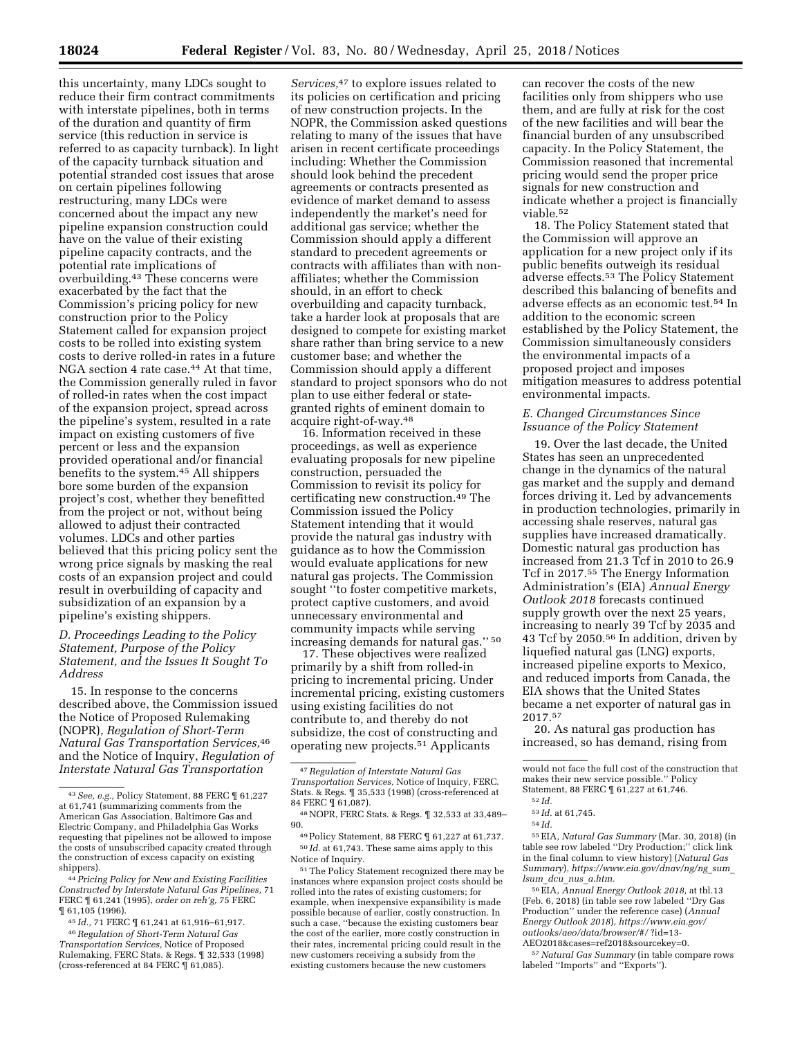this uncertainty, many LDCs sought to reduce their firm contract commitments with interstate pipelines, both in terms of the duration and quantity of firm service (this reduction in service is referred to as capacity turnback). In light of the capacity turnback situation and potential stranded cost issues that arose on certain pipelines following restructuring, many LDCs were concerned about the impact any new pipeline expansion construction could have on the value of their existing pipeline capacity contracts, and the potential rate implications of overbuilding.43 These concerns were exacerbated by the fact that the Commission's pricing policy for new construction prior to the Policy Statement called for expansion project costs to be rolled into existing system costs to derive rolled-in rates in a future NGA section 4 rate case.<sup>44</sup> At that time, the Commission generally ruled in favor of rolled-in rates when the cost impact of the expansion project, spread across the pipeline's system, resulted in a rate impact on existing customers of five percent or less and the expansion provided operational and/or financial benefits to the system.45 All shippers bore some burden of the expansion project's cost, whether they benefitted from the project or not, without being allowed to adjust their contracted volumes. LDCs and other parties believed that this pricing policy sent the wrong price signals by masking the real costs of an expansion project and could result in overbuilding of capacity and subsidization of an expansion by a pipeline's existing shippers.

# *D. Proceedings Leading to the Policy Statement, Purpose of the Policy Statement, and the Issues It Sought To Address*

15. In response to the concerns described above, the Commission issued the Notice of Proposed Rulemaking (NOPR), *Regulation of Short-Term Natural Gas Transportation Services,*46 and the Notice of Inquiry, *Regulation of Interstate Natural Gas Transportation* 

*Services,*47 to explore issues related to its policies on certification and pricing of new construction projects. In the NOPR, the Commission asked questions relating to many of the issues that have arisen in recent certificate proceedings including: Whether the Commission should look behind the precedent agreements or contracts presented as evidence of market demand to assess independently the market's need for additional gas service; whether the Commission should apply a different standard to precedent agreements or contracts with affiliates than with nonaffiliates; whether the Commission should, in an effort to check overbuilding and capacity turnback, take a harder look at proposals that are designed to compete for existing market share rather than bring service to a new customer base; and whether the Commission should apply a different standard to project sponsors who do not plan to use either federal or stategranted rights of eminent domain to acquire right-of-way.48

16. Information received in these proceedings, as well as experience evaluating proposals for new pipeline construction, persuaded the Commission to revisit its policy for certificating new construction.49 The Commission issued the Policy Statement intending that it would provide the natural gas industry with guidance as to how the Commission would evaluate applications for new natural gas projects. The Commission sought ''to foster competitive markets, protect captive customers, and avoid unnecessary environmental and community impacts while serving increasing demands for natural gas.'' 50

17. These objectives were realized primarily by a shift from rolled-in pricing to incremental pricing. Under incremental pricing, existing customers using existing facilities do not contribute to, and thereby do not subsidize, the cost of constructing and operating new projects.51 Applicants

51The Policy Statement recognized there may be instances where expansion project costs should be rolled into the rates of existing customers; for example, when inexpensive expansibility is made possible because of earlier, costly construction. In such a case, ''because the existing customers bear the cost of the earlier, more costly construction in their rates, incremental pricing could result in the new customers receiving a subsidy from the existing customers because the new customers

can recover the costs of the new facilities only from shippers who use them, and are fully at risk for the cost of the new facilities and will bear the financial burden of any unsubscribed capacity. In the Policy Statement, the Commission reasoned that incremental pricing would send the proper price signals for new construction and indicate whether a project is financially viable.52

18. The Policy Statement stated that the Commission will approve an application for a new project only if its public benefits outweigh its residual adverse effects.53 The Policy Statement described this balancing of benefits and adverse effects as an economic test.54 In addition to the economic screen established by the Policy Statement, the Commission simultaneously considers the environmental impacts of a proposed project and imposes mitigation measures to address potential environmental impacts.

#### *E. Changed Circumstances Since Issuance of the Policy Statement*

19. Over the last decade, the United States has seen an unprecedented change in the dynamics of the natural gas market and the supply and demand forces driving it. Led by advancements in production technologies, primarily in accessing shale reserves, natural gas supplies have increased dramatically. Domestic natural gas production has increased from 21.3 Tcf in 2010 to 26.9 Tcf in 2017.55 The Energy Information Administration's (EIA) *Annual Energy Outlook 2018* forecasts continued supply growth over the next 25 years, increasing to nearly 39 Tcf by 2035 and 43 Tcf by 2050.56 In addition, driven by liquefied natural gas (LNG) exports, increased pipeline exports to Mexico, and reduced imports from Canada, the EIA shows that the United States became a net exporter of natural gas in 2017.57

20. As natural gas production has increased, so has demand, rising from

54 *Id.* 

55EIA, *Natural Gas Summary* (Mar. 30, 2018) (in table see row labeled ''Dry Production;'' click link in the final column to view history) (*Natural Gas Summary*), *[https://www.eia.gov/dnav/ng/ng](https://www.eia.gov/dnav/ng/ng_sum_lsum_dcu_nus_a.htm)*\_*sum*\_ *lsum*\_*dcu*\_*nus*\_*[a.htm.](https://www.eia.gov/dnav/ng/ng_sum_lsum_dcu_nus_a.htm)* 

56EIA, *Annual Energy Outlook 2018,* at tbl.13 (Feb. 6, 2018) (in table see row labeled ''Dry Gas Production'' under the reference case) (*Annual Energy Outlook 2018*), *[https://www.eia.gov/](https://www.eia.gov/outlooks/aeo/data/browser/#/) [outlooks/aeo/data/browser/#/](https://www.eia.gov/outlooks/aeo/data/browser/#/)* ?id=13- AEO2018&cases=ref2018&sourcekey=0.

57*Natural Gas Summary* (in table compare rows labeled ''Imports'' and ''Exports'').

<sup>43</sup>*See, e.g.,* Policy Statement, 88 FERC ¶ 61,227 at 61,741 (summarizing comments from the American Gas Association, Baltimore Gas and Electric Company, and Philadelphia Gas Works requesting that pipelines not be allowed to impose the costs of unsubscribed capacity created through the construction of excess capacity on existing shippers).

<sup>44</sup>*Pricing Policy for New and Existing Facilities Constructed by Interstate Natural Gas Pipelines,* 71 FERC ¶ 61,241 (1995), *order on reh'g,* 75 FERC ¶ 61,105 (1996).

<sup>45</sup> *Id.,* 71 FERC ¶ 61,241 at 61,916–61,917.

<sup>46</sup>*Regulation of Short-Term Natural Gas Transportation Services,* Notice of Proposed Rulemaking, FERC Stats. & Regs. ¶ 32,533 (1998) (cross-referenced at 84 FERC ¶ 61,085).

<sup>47</sup>*Regulation of Interstate Natural Gas Transportation Services,* Notice of Inquiry, FERC. Stats. & Regs. ¶ 35,533 (1998) (cross-referenced at 84 FERC ¶ 61,087).

<sup>48</sup>NOPR, FERC Stats. & Regs. ¶ 32,533 at 33,489– 90.

<sup>49</sup>Policy Statement, 88 FERC ¶ 61,227 at 61,737.  $^{50}\,Id.$  at 61,743. These same aims apply to this Notice of Inquiry.

would not face the full cost of the construction that makes their new service possible.'' Policy Statement, 88 FERC ¶ 61,227 at 61,746.

<sup>52</sup> *Id.* 

<sup>53</sup> *Id.* at 61,745.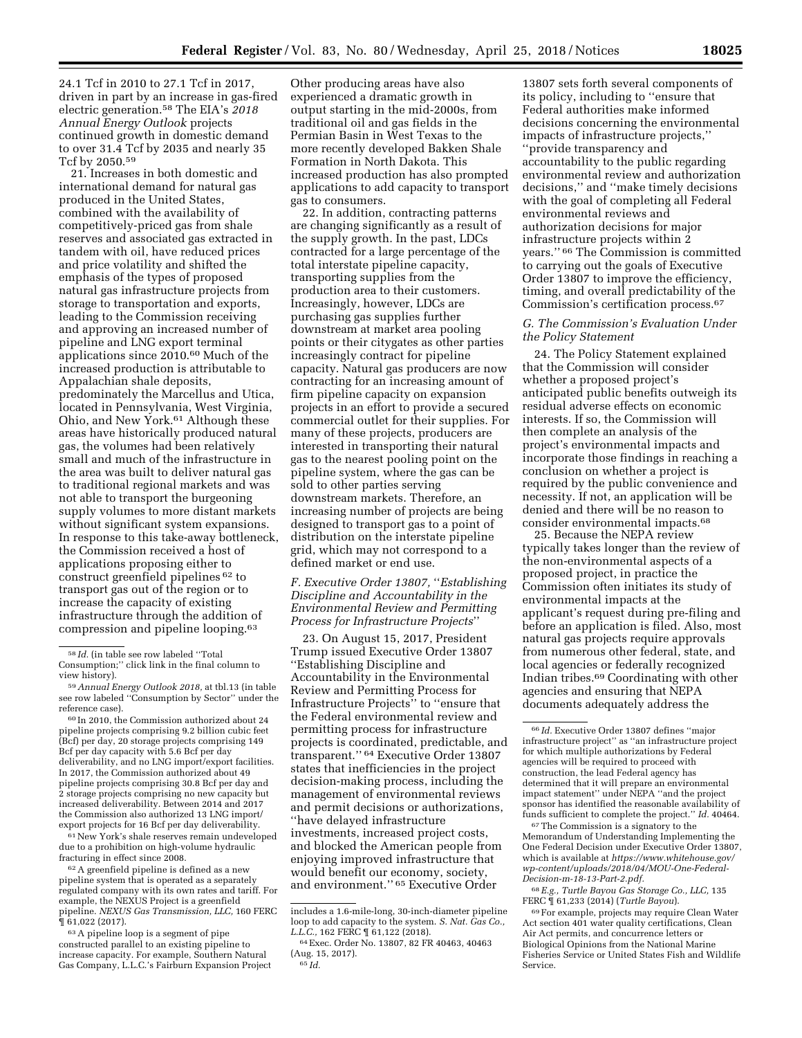24.1 Tcf in 2010 to 27.1 Tcf in 2017, driven in part by an increase in gas-fired electric generation.58 The EIA's *2018 Annual Energy Outlook* projects continued growth in domestic demand to over 31.4 Tcf by 2035 and nearly 35 Tcf by 2050.59

21. Increases in both domestic and international demand for natural gas produced in the United States, combined with the availability of competitively-priced gas from shale reserves and associated gas extracted in tandem with oil, have reduced prices and price volatility and shifted the emphasis of the types of proposed natural gas infrastructure projects from storage to transportation and exports, leading to the Commission receiving and approving an increased number of pipeline and LNG export terminal applications since 2010.60 Much of the increased production is attributable to Appalachian shale deposits, predominately the Marcellus and Utica, located in Pennsylvania, West Virginia, Ohio, and New York.61 Although these areas have historically produced natural gas, the volumes had been relatively small and much of the infrastructure in the area was built to deliver natural gas to traditional regional markets and was not able to transport the burgeoning supply volumes to more distant markets without significant system expansions. In response to this take-away bottleneck, the Commission received a host of applications proposing either to construct greenfield pipelines 62 to transport gas out of the region or to increase the capacity of existing infrastructure through the addition of compression and pipeline looping.63

61New York's shale reserves remain undeveloped due to a prohibition on high-volume hydraulic fracturing in effect since 2008.

62A greenfield pipeline is defined as a new pipeline system that is operated as a separately regulated company with its own rates and tariff. For example, the NEXUS Project is a greenfield pipeline. *NEXUS Gas Transmission, LLC,* 160 FERC ¶ 61,022 (2017).

63A pipeline loop is a segment of pipe constructed parallel to an existing pipeline to increase capacity. For example, Southern Natural Gas Company, L.L.C.'s Fairburn Expansion Project

Other producing areas have also experienced a dramatic growth in output starting in the mid-2000s, from traditional oil and gas fields in the Permian Basin in West Texas to the more recently developed Bakken Shale Formation in North Dakota. This increased production has also prompted applications to add capacity to transport gas to consumers.

22. In addition, contracting patterns are changing significantly as a result of the supply growth. In the past, LDCs contracted for a large percentage of the total interstate pipeline capacity, transporting supplies from the production area to their customers. Increasingly, however, LDCs are purchasing gas supplies further downstream at market area pooling points or their citygates as other parties increasingly contract for pipeline capacity. Natural gas producers are now contracting for an increasing amount of firm pipeline capacity on expansion projects in an effort to provide a secured commercial outlet for their supplies. For many of these projects, producers are interested in transporting their natural gas to the nearest pooling point on the pipeline system, where the gas can be sold to other parties serving downstream markets. Therefore, an increasing number of projects are being designed to transport gas to a point of distribution on the interstate pipeline grid, which may not correspond to a defined market or end use.

# *F. Executive Order 13807,* ''*Establishing Discipline and Accountability in the Environmental Review and Permitting Process for Infrastructure Projects*''

23. On August 15, 2017, President Trump issued Executive Order 13807 ''Establishing Discipline and Accountability in the Environmental Review and Permitting Process for Infrastructure Projects'' to ''ensure that the Federal environmental review and permitting process for infrastructure projects is coordinated, predictable, and transparent.'' 64 Executive Order 13807 states that inefficiencies in the project decision-making process, including the management of environmental reviews and permit decisions or authorizations, ''have delayed infrastructure investments, increased project costs, and blocked the American people from enjoying improved infrastructure that would benefit our economy, society, and environment.'' 65 Executive Order

13807 sets forth several components of its policy, including to ''ensure that Federal authorities make informed decisions concerning the environmental impacts of infrastructure projects,'' ''provide transparency and accountability to the public regarding environmental review and authorization decisions,'' and ''make timely decisions with the goal of completing all Federal environmental reviews and authorization decisions for major infrastructure projects within 2 years.'' 66 The Commission is committed to carrying out the goals of Executive Order 13807 to improve the efficiency, timing, and overall predictability of the Commission's certification process.67

# *G. The Commission's Evaluation Under the Policy Statement*

24. The Policy Statement explained that the Commission will consider whether a proposed project's anticipated public benefits outweigh its residual adverse effects on economic interests. If so, the Commission will then complete an analysis of the project's environmental impacts and incorporate those findings in reaching a conclusion on whether a project is required by the public convenience and necessity. If not, an application will be denied and there will be no reason to consider environmental impacts.68

25. Because the NEPA review typically takes longer than the review of the non-environmental aspects of a proposed project, in practice the Commission often initiates its study of environmental impacts at the applicant's request during pre-filing and before an application is filed. Also, most natural gas projects require approvals from numerous other federal, state, and local agencies or federally recognized Indian tribes.69 Coordinating with other agencies and ensuring that NEPA documents adequately address the

67The Commission is a signatory to the Memorandum of Understanding Implementing the One Federal Decision under Executive Order 13807, which is available at *[https://www.whitehouse.gov/](https://www.whitehouse.gov/wp-content/uploads/2018/04/MOU-One-Federal-Decision-m-18-13-Part-2.pdf)  [wp-content/uploads/2018/04/MOU-One-Federal-](https://www.whitehouse.gov/wp-content/uploads/2018/04/MOU-One-Federal-Decision-m-18-13-Part-2.pdf)[Decision-m-18-13-Part-2.pdf.](https://www.whitehouse.gov/wp-content/uploads/2018/04/MOU-One-Federal-Decision-m-18-13-Part-2.pdf)* 

68*E.g., Turtle Bayou Gas Storage Co., LLC,* 135 FERC ¶ 61,233 (2014) (*Turtle Bayou*).

<sup>58</sup> *Id.* (in table see row labeled ''Total Consumption;'' click link in the final column to view history).

<sup>59</sup>*Annual Energy Outlook 2018,* at tbl.13 (in table see row labeled ''Consumption by Sector'' under the reference case).

<sup>60</sup> In 2010, the Commission authorized about 24 pipeline projects comprising 9.2 billion cubic feet (Bcf) per day, 20 storage projects comprising 149 Bcf per day capacity with 5.6 Bcf per day deliverability, and no LNG import/export facilities. In 2017, the Commission authorized about 49 pipeline projects comprising 30.8 Bcf per day and 2 storage projects comprising no new capacity but increased deliverability. Between 2014 and 2017 the Commission also authorized 13 LNG import/ export projects for 16 Bcf per day deliverability.

includes a 1.6-mile-long, 30-inch-diameter pipeline loop to add capacity to the system. *S. Nat. Gas Co.,* 

<sup>&</sup>lt;sup>64</sup> Exec. Order No. 13807, 82 FR 40463, 40463 (Aug. 15, 2017). 65 *Id.* 

<sup>66</sup> *Id.* Executive Order 13807 defines ''major infrastructure project'' as ''an infrastructure project for which multiple authorizations by Federal agencies will be required to proceed with construction, the lead Federal agency has determined that it will prepare an environmental impact statement'' under NEPA ''and the project sponsor has identified the reasonable availability of funds sufficient to complete the project.'' *Id.* 40464.

<sup>69</sup>For example, projects may require Clean Water Act section 401 water quality certifications, Clean Air Act permits, and concurrence letters or Biological Opinions from the National Marine Fisheries Service or United States Fish and Wildlife Service.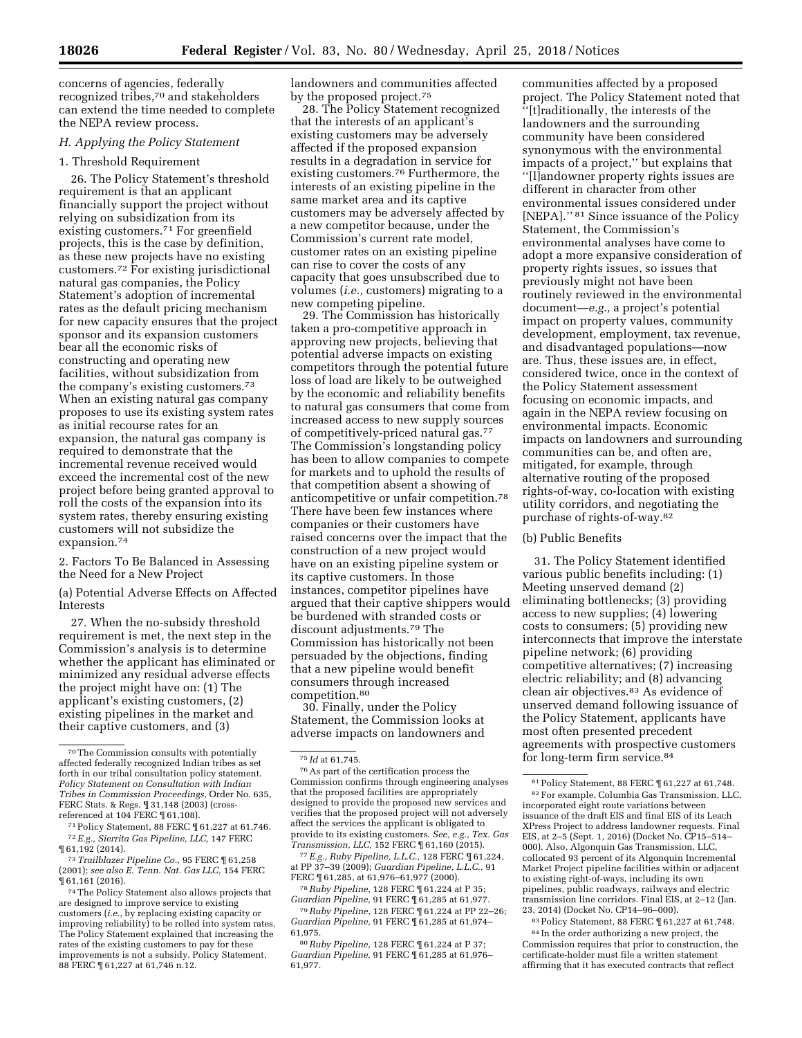concerns of agencies, federally recognized tribes,70 and stakeholders can extend the time needed to complete the NEPA review process.

# *H. Applying the Policy Statement*

#### 1. Threshold Requirement

26. The Policy Statement's threshold requirement is that an applicant financially support the project without relying on subsidization from its existing customers.<sup>71</sup> For greenfield projects, this is the case by definition, as these new projects have no existing customers.72 For existing jurisdictional natural gas companies, the Policy Statement's adoption of incremental rates as the default pricing mechanism for new capacity ensures that the project sponsor and its expansion customers bear all the economic risks of constructing and operating new facilities, without subsidization from the company's existing customers.73 When an existing natural gas company proposes to use its existing system rates as initial recourse rates for an expansion, the natural gas company is required to demonstrate that the incremental revenue received would exceed the incremental cost of the new project before being granted approval to roll the costs of the expansion into its system rates, thereby ensuring existing customers will not subsidize the expansion.74

2. Factors To Be Balanced in Assessing the Need for a New Project

(a) Potential Adverse Effects on Affected Interests

27. When the no-subsidy threshold requirement is met, the next step in the Commission's analysis is to determine whether the applicant has eliminated or minimized any residual adverse effects the project might have on: (1) The applicant's existing customers, (2) existing pipelines in the market and their captive customers, and (3)

landowners and communities affected by the proposed project.75

28. The Policy Statement recognized that the interests of an applicant's existing customers may be adversely affected if the proposed expansion results in a degradation in service for existing customers.76 Furthermore, the interests of an existing pipeline in the same market area and its captive customers may be adversely affected by a new competitor because, under the Commission's current rate model, customer rates on an existing pipeline can rise to cover the costs of any capacity that goes unsubscribed due to volumes (*i.e.,* customers) migrating to a new competing pipeline.

29. The Commission has historically taken a pro-competitive approach in approving new projects, believing that potential adverse impacts on existing competitors through the potential future loss of load are likely to be outweighed by the economic and reliability benefits to natural gas consumers that come from increased access to new supply sources of competitively-priced natural gas.77 The Commission's longstanding policy has been to allow companies to compete for markets and to uphold the results of that competition absent a showing of anticompetitive or unfair competition.78 There have been few instances where companies or their customers have raised concerns over the impact that the construction of a new project would have on an existing pipeline system or its captive customers. In those instances, competitor pipelines have argued that their captive shippers would be burdened with stranded costs or discount adjustments.79 The Commission has historically not been persuaded by the objections, finding that a new pipeline would benefit consumers through increased competition.80

30. Finally, under the Policy Statement, the Commission looks at adverse impacts on landowners and

77*E.g., Ruby Pipeline, L.L.C.,* 128 FERC ¶ 61,224, at PP 37–39 (2009); *Guardian Pipeline, L.L.C.,* 91 FERC ¶ 61,285, at 61,976–61,977 (2000).

78*Ruby Pipeline,* 128 FERC ¶ 61,224 at P 35; *Guardian Pipeline,* 91 FERC ¶ 61,285 at 61,977.

79*Ruby Pipeline,* 128 FERC ¶ 61,224 at PP 22–26; *Guardian Pipeline,* 91 FERC ¶ 61,285 at 61,974– 61,975.

80*Ruby Pipeline,* 128 FERC ¶ 61,224 at P 37; *Guardian Pipeline,* 91 FERC ¶ 61,285 at 61,976– 61,977.

communities affected by a proposed project. The Policy Statement noted that ''[t]raditionally, the interests of the landowners and the surrounding community have been considered synonymous with the environmental impacts of a project,'' but explains that ''[l]andowner property rights issues are different in character from other environmental issues considered under [NEPA].'' 81 Since issuance of the Policy Statement, the Commission's environmental analyses have come to adopt a more expansive consideration of property rights issues, so issues that previously might not have been routinely reviewed in the environmental document—*e.g.,* a project's potential impact on property values, community development, employment, tax revenue, and disadvantaged populations—now are. Thus, these issues are, in effect, considered twice, once in the context of the Policy Statement assessment focusing on economic impacts, and again in the NEPA review focusing on environmental impacts. Economic impacts on landowners and surrounding communities can be, and often are, mitigated, for example, through alternative routing of the proposed rights-of-way, co-location with existing utility corridors, and negotiating the purchase of rights-of-way.82

## (b) Public Benefits

31. The Policy Statement identified various public benefits including: (1) Meeting unserved demand (2) eliminating bottlenecks; (3) providing access to new supplies; (4) lowering costs to consumers; (5) providing new interconnects that improve the interstate pipeline network; (6) providing competitive alternatives; (7) increasing electric reliability; and (8) advancing clean air objectives.83 As evidence of unserved demand following issuance of the Policy Statement, applicants have most often presented precedent agreements with prospective customers for long-term firm service.84

83Policy Statement, 88 FERC ¶ 61,227 at 61,748. 84 In the order authorizing a new project, the Commission requires that prior to construction, the certificate-holder must file a written statement affirming that it has executed contracts that reflect

<sup>70</sup>The Commission consults with potentially affected federally recognized Indian tribes as set forth in our tribal consultation policy statement. *Policy Statement on Consultation with Indian Tribes in Commission Proceedings,* Order No. 635, FERC Stats. & Regs. 1 31,148 (2003) (crossreferenced at 104 FERC ¶ 61,108).

<sup>71</sup>Policy Statement, 88 FERC ¶ 61,227 at 61,746. 72*E.g., Sierrita Gas Pipeline, LLC,* 147 FERC ¶ 61,192 (2014).

<sup>73</sup>*Trailblazer Pipeline Co.,* 95 FERC ¶ 61,258 (2001); *see also E. Tenn. Nat. Gas LLC,* 154 FERC ¶ 61,161 (2016).

<sup>74</sup>The Policy Statement also allows projects that are designed to improve service to existing customers (*i.e.,* by replacing existing capacity or improving reliability) to be rolled into system rates. The Policy Statement explained that increasing the rates of the existing customers to pay for these improvements is not a subsidy. Policy Statement, 88 FERC ¶ 61,227 at 61,746 n.12.

<sup>75</sup> *Id* at 61,745.

<sup>76</sup>As part of the certification process the Commission confirms through engineering analyses that the proposed facilities are appropriately designed to provide the proposed new services and verifies that the proposed project will not adversely affect the services the applicant is obligated to provide to its existing customers. *See, e.g., Tex. Gas Transmission, LLC,* 152 FERC ¶ 61,160 (2015).

<sup>81</sup>Policy Statement, 88 FERC ¶ 61,227 at 61,748. 82For example, Columbia Gas Transmission, LLC, incorporated eight route variations between issuance of the draft EIS and final EIS of its Leach XPress Project to address landowner requests. Final EIS, at 2–5 (Sept. 1, 2016) (Docket No. CP15–514– 000). Also, Algonquin Gas Transmission, LLC, collocated 93 percent of its Algonquin Incremental Market Project pipeline facilities within or adjacent to existing right-of-ways, including its own pipelines, public roadways, railways and electric transmission line corridors. Final EIS, at 2–12 (Jan. 23, 2014) (Docket No. CP14–96–000).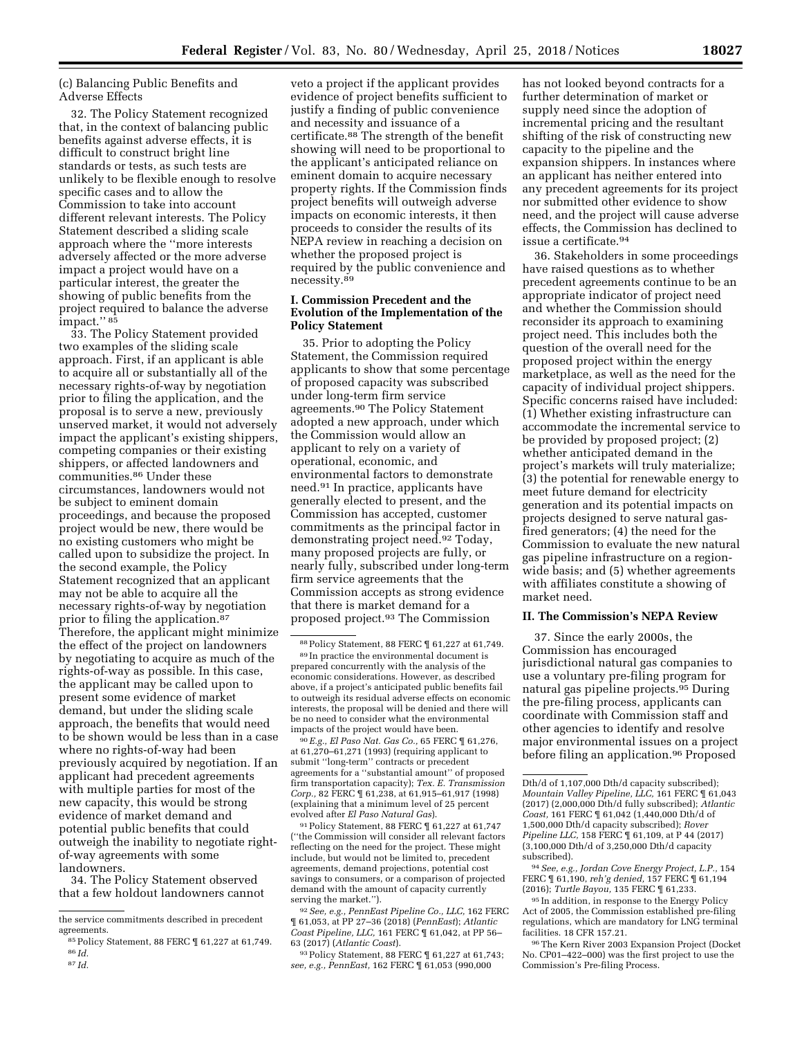# (c) Balancing Public Benefits and Adverse Effects

32. The Policy Statement recognized that, in the context of balancing public benefits against adverse effects, it is difficult to construct bright line standards or tests, as such tests are unlikely to be flexible enough to resolve specific cases and to allow the Commission to take into account different relevant interests. The Policy Statement described a sliding scale approach where the ''more interests adversely affected or the more adverse impact a project would have on a particular interest, the greater the showing of public benefits from the project required to balance the adverse impact."<sup>85</sup>

33. The Policy Statement provided two examples of the sliding scale approach. First, if an applicant is able to acquire all or substantially all of the necessary rights-of-way by negotiation prior to filing the application, and the proposal is to serve a new, previously unserved market, it would not adversely impact the applicant's existing shippers, competing companies or their existing shippers, or affected landowners and communities.86 Under these circumstances, landowners would not be subject to eminent domain proceedings, and because the proposed project would be new, there would be no existing customers who might be called upon to subsidize the project. In the second example, the Policy Statement recognized that an applicant may not be able to acquire all the necessary rights-of-way by negotiation prior to filing the application.87 Therefore, the applicant might minimize the effect of the project on landowners by negotiating to acquire as much of the rights-of-way as possible. In this case, the applicant may be called upon to present some evidence of market demand, but under the sliding scale approach, the benefits that would need to be shown would be less than in a case where no rights-of-way had been previously acquired by negotiation. If an applicant had precedent agreements with multiple parties for most of the new capacity, this would be strong evidence of market demand and potential public benefits that could outweigh the inability to negotiate rightof-way agreements with some landowners.

34. The Policy Statement observed that a few holdout landowners cannot

87 *Id.* 

veto a project if the applicant provides evidence of project benefits sufficient to justify a finding of public convenience and necessity and issuance of a certificate.88 The strength of the benefit showing will need to be proportional to the applicant's anticipated reliance on eminent domain to acquire necessary property rights. If the Commission finds project benefits will outweigh adverse impacts on economic interests, it then proceeds to consider the results of its NEPA review in reaching a decision on whether the proposed project is required by the public convenience and necessity.89

# **I. Commission Precedent and the Evolution of the Implementation of the Policy Statement**

35. Prior to adopting the Policy Statement, the Commission required applicants to show that some percentage of proposed capacity was subscribed under long-term firm service agreements.90 The Policy Statement adopted a new approach, under which the Commission would allow an applicant to rely on a variety of operational, economic, and environmental factors to demonstrate need.91 In practice, applicants have generally elected to present, and the Commission has accepted, customer commitments as the principal factor in demonstrating project need.92 Today, many proposed projects are fully, or nearly fully, subscribed under long-term firm service agreements that the Commission accepts as strong evidence that there is market demand for a proposed project.93 The Commission

90*E.g., El Paso Nat. Gas Co.,* 65 FERC ¶ 61,276, at 61,270–61,271 (1993) (requiring applicant to submit ''long-term'' contracts or precedent agreements for a ''substantial amount'' of proposed firm transportation capacity); *Tex. E. Transmission Corp.,* 82 FERC ¶ 61,238, at 61,915–61,917 (1998) (explaining that a minimum level of 25 percent evolved after *El Paso Natural Gas*).

91Policy Statement, 88 FERC ¶ 61,227 at 61,747 (''the Commission will consider all relevant factors reflecting on the need for the project. These might include, but would not be limited to, precedent agreements, demand projections, potential cost savings to consumers, or a comparison of projected demand with the amount of capacity currently serving the market.'').

92*See, e.g., PennEast Pipeline Co., LLC,* 162 FERC ¶ 61,053, at PP 27–36 (2018) (*PennEast*); *Atlantic Coast Pipeline, LLC,* 161 FERC ¶ 61,042, at PP 56– 63 (2017) (*Atlantic Coast*).

93Policy Statement, 88 FERC ¶ 61,227 at 61,743; *see, e.g., PennEast,* 162 FERC ¶ 61,053 (990,000

has not looked beyond contracts for a further determination of market or supply need since the adoption of incremental pricing and the resultant shifting of the risk of constructing new capacity to the pipeline and the expansion shippers. In instances where an applicant has neither entered into any precedent agreements for its project nor submitted other evidence to show need, and the project will cause adverse effects, the Commission has declined to issue a certificate.94

36. Stakeholders in some proceedings have raised questions as to whether precedent agreements continue to be an appropriate indicator of project need and whether the Commission should reconsider its approach to examining project need. This includes both the question of the overall need for the proposed project within the energy marketplace, as well as the need for the capacity of individual project shippers. Specific concerns raised have included: (1) Whether existing infrastructure can accommodate the incremental service to be provided by proposed project; (2) whether anticipated demand in the project's markets will truly materialize; (3) the potential for renewable energy to meet future demand for electricity generation and its potential impacts on projects designed to serve natural gasfired generators; (4) the need for the Commission to evaluate the new natural gas pipeline infrastructure on a regionwide basis; and (5) whether agreements with affiliates constitute a showing of market need.

### **II. The Commission's NEPA Review**

37. Since the early 2000s, the Commission has encouraged jurisdictional natural gas companies to use a voluntary pre-filing program for natural gas pipeline projects.95 During the pre-filing process, applicants can coordinate with Commission staff and other agencies to identify and resolve major environmental issues on a project before filing an application.96 Proposed

94*See, e.g., Jordan Cove Energy Project, L.P.,* 154 FERC ¶ 61,190, *reh'g denied,* 157 FERC ¶ 61,194 (2016); *Turtle Bayou,* 135 FERC ¶ 61,233.

95 In addition, in response to the Energy Policy Act of 2005, the Commission established pre-filing regulations, which are mandatory for LNG terminal facilities. 18 CFR 157.21.

96The Kern River 2003 Expansion Project (Docket No. CP01–422–000) was the first project to use the Commission's Pre-filing Process.

the service commitments described in precedent agreements.

<sup>85</sup>Policy Statement, 88 FERC ¶ 61,227 at 61,749. 86 *Id.* 

<sup>88</sup>Policy Statement, 88 FERC ¶ 61,227 at 61,749. 89 In practice the environmental document is prepared concurrently with the analysis of the economic considerations. However, as described above, if a project's anticipated public benefits fail to outweigh its residual adverse effects on economic interests, the proposal will be denied and there will be no need to consider what the environmental impacts of the project would have been.

Dth/d of 1,107,000 Dth/d capacity subscribed); *Mountain Valley Pipeline, LLC,* 161 FERC ¶ 61,043 (2017) (2,000,000 Dth/d fully subscribed); *Atlantic Coast,* 161 FERC ¶ 61,042 (1,440,000 Dth/d of 1,500,000 Dth/d capacity subscribed); *Rover Pipeline LLC,* 158 FERC ¶ 61,109, at P 44 (2017) (3,100,000 Dth/d of 3,250,000 Dth/d capacity subscribed).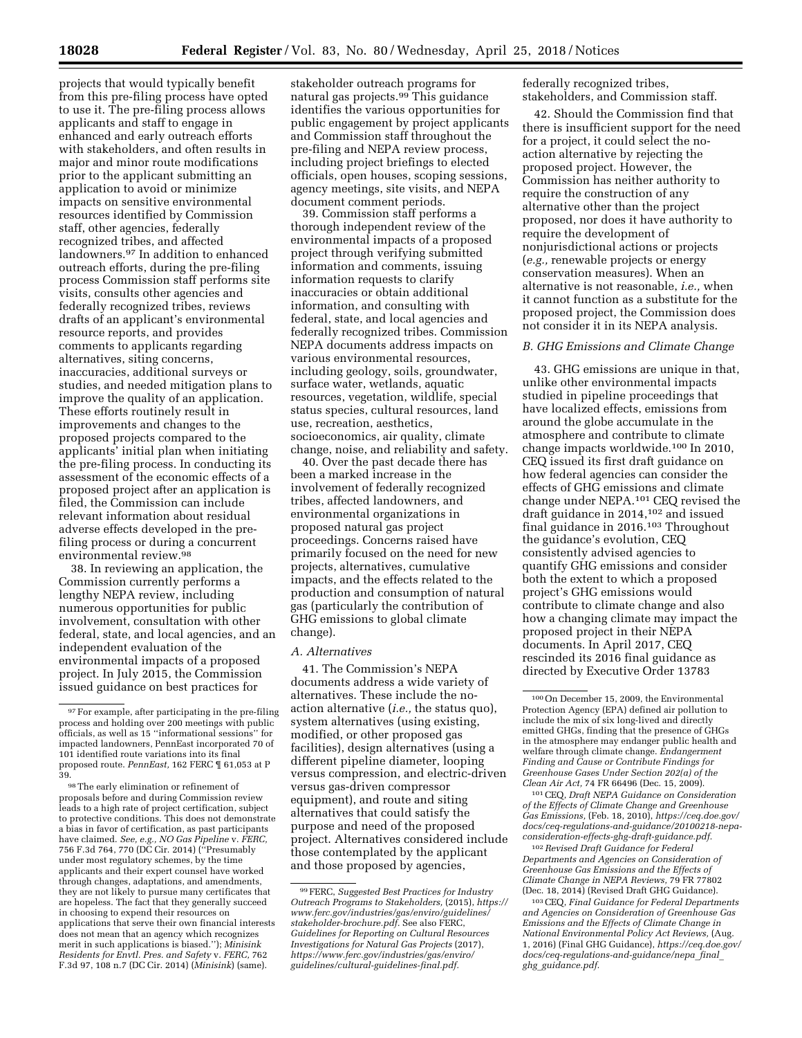projects that would typically benefit from this pre-filing process have opted to use it. The pre-filing process allows applicants and staff to engage in enhanced and early outreach efforts with stakeholders, and often results in major and minor route modifications prior to the applicant submitting an application to avoid or minimize impacts on sensitive environmental resources identified by Commission staff, other agencies, federally recognized tribes, and affected landowners.97 In addition to enhanced outreach efforts, during the pre-filing process Commission staff performs site visits, consults other agencies and federally recognized tribes, reviews drafts of an applicant's environmental resource reports, and provides comments to applicants regarding alternatives, siting concerns, inaccuracies, additional surveys or studies, and needed mitigation plans to improve the quality of an application. These efforts routinely result in improvements and changes to the proposed projects compared to the applicants' initial plan when initiating the pre-filing process. In conducting its assessment of the economic effects of a proposed project after an application is filed, the Commission can include relevant information about residual adverse effects developed in the prefiling process or during a concurrent environmental review.98

38. In reviewing an application, the Commission currently performs a lengthy NEPA review, including numerous opportunities for public involvement, consultation with other federal, state, and local agencies, and an independent evaluation of the environmental impacts of a proposed project. In July 2015, the Commission issued guidance on best practices for

98The early elimination or refinement of proposals before and during Commission review leads to a high rate of project certification, subject to protective conditions. This does not demonstrate a bias in favor of certification, as past participants have claimed. *See, e.g., NO Gas Pipeline* v. *FERC,*  756 F.3d 764, 770 (DC Cir. 2014) (''Presumably under most regulatory schemes, by the time applicants and their expert counsel have worked through changes, adaptations, and amendments, they are not likely to pursue many certificates that are hopeless. The fact that they generally succeed in choosing to expend their resources on applications that serve their own financial interests does not mean that an agency which recognizes merit in such applications is biased.''); *Minisink Residents for Envtl. Pres. and Safety* v. *FERC,* 762 F.3d 97, 108 n.7 (DC Cir. 2014) (*Minisink*) (same).

stakeholder outreach programs for natural gas projects.99 This guidance identifies the various opportunities for public engagement by project applicants and Commission staff throughout the pre-filing and NEPA review process, including project briefings to elected officials, open houses, scoping sessions, agency meetings, site visits, and NEPA document comment periods.

39. Commission staff performs a thorough independent review of the environmental impacts of a proposed project through verifying submitted information and comments, issuing information requests to clarify inaccuracies or obtain additional information, and consulting with federal, state, and local agencies and federally recognized tribes. Commission NEPA documents address impacts on various environmental resources, including geology, soils, groundwater, surface water, wetlands, aquatic resources, vegetation, wildlife, special status species, cultural resources, land use, recreation, aesthetics, socioeconomics, air quality, climate change, noise, and reliability and safety.

40. Over the past decade there has been a marked increase in the involvement of federally recognized tribes, affected landowners, and environmental organizations in proposed natural gas project proceedings. Concerns raised have primarily focused on the need for new projects, alternatives, cumulative impacts, and the effects related to the production and consumption of natural gas (particularly the contribution of GHG emissions to global climate change).

#### *A. Alternatives*

41. The Commission's NEPA documents address a wide variety of alternatives. These include the noaction alternative (*i.e.,* the status quo), system alternatives (using existing, modified, or other proposed gas facilities), design alternatives (using a different pipeline diameter, looping versus compression, and electric-driven versus gas-driven compressor equipment), and route and siting alternatives that could satisfy the purpose and need of the proposed project. Alternatives considered include those contemplated by the applicant and those proposed by agencies,

federally recognized tribes, stakeholders, and Commission staff.

42. Should the Commission find that there is insufficient support for the need for a project, it could select the noaction alternative by rejecting the proposed project. However, the Commission has neither authority to require the construction of any alternative other than the project proposed, nor does it have authority to require the development of nonjurisdictional actions or projects (*e.g.,* renewable projects or energy conservation measures). When an alternative is not reasonable, *i.e.,* when it cannot function as a substitute for the proposed project, the Commission does not consider it in its NEPA analysis.

## *B. GHG Emissions and Climate Change*

43. GHG emissions are unique in that, unlike other environmental impacts studied in pipeline proceedings that have localized effects, emissions from around the globe accumulate in the atmosphere and contribute to climate change impacts worldwide.100 In 2010, CEQ issued its first draft guidance on how federal agencies can consider the effects of GHG emissions and climate change under NEPA.101 CEQ revised the draft guidance in 2014,102 and issued final guidance in 2016.103 Throughout the guidance's evolution, CEQ consistently advised agencies to quantify GHG emissions and consider both the extent to which a proposed project's GHG emissions would contribute to climate change and also how a changing climate may impact the proposed project in their NEPA documents. In April 2017, CEQ rescinded its 2016 final guidance as directed by Executive Order 13783

101CEQ, *Draft NEPA Guidance on Consideration of the Effects of Climate Change and Greenhouse Gas Emissions,* (Feb. 18, 2010), *[https://ceq.doe.gov/](https://ceq.doe.gov/docs/ceq-regulations-and-guidance/20100218-nepa-consideration-effects-ghg-draft-guidance.pdf) [docs/ceq-regulations-and-guidance/20100218-nepa](https://ceq.doe.gov/docs/ceq-regulations-and-guidance/20100218-nepa-consideration-effects-ghg-draft-guidance.pdf)[consideration-effects-ghg-draft-guidance.pdf.](https://ceq.doe.gov/docs/ceq-regulations-and-guidance/20100218-nepa-consideration-effects-ghg-draft-guidance.pdf)* 

102*Revised Draft Guidance for Federal Departments and Agencies on Consideration of Greenhouse Gas Emissions and the Effects of Climate Change in NEPA Reviews,* 79 FR 77802 (Dec. 18, 2014) (Revised Draft GHG Guidance).

103CEQ, *Final Guidance for Federal Departments and Agencies on Consideration of Greenhouse Gas Emissions and the Effects of Climate Change in National Environmental Policy Act Reviews,* (Aug. 1, 2016) (Final GHG Guidance), *[https://ceq.doe.gov/](https://ceq.doe.gov/docs/ceq-regulations-and-guidance/nepa_final_ghg_guidance.pdf)  [docs/ceq-regulations-and-guidance/nepa](https://ceq.doe.gov/docs/ceq-regulations-and-guidance/nepa_final_ghg_guidance.pdf)*\_*final*\_ *ghg*\_*[guidance.pdf.](https://ceq.doe.gov/docs/ceq-regulations-and-guidance/nepa_final_ghg_guidance.pdf)* 

<sup>97</sup>For example, after participating in the pre-filing process and holding over 200 meetings with public officials, as well as 15 ''informational sessions'' for impacted landowners, PennEast incorporated 70 of 101 identified route variations into its final proposed route. *PennEast,* 162 FERC ¶ 61,053 at P 39.

<sup>99</sup>FERC, *Suggested Best Practices for Industry Outreach Programs to Stakeholders,* (2015), *[https://](https://www.ferc.gov/industries/gas/enviro/guidelines/stakeholder-brochure.pdf)  [www.ferc.gov/industries/gas/enviro/guidelines/](https://www.ferc.gov/industries/gas/enviro/guidelines/stakeholder-brochure.pdf) [stakeholder-brochure.pdf.](https://www.ferc.gov/industries/gas/enviro/guidelines/stakeholder-brochure.pdf)* See also FERC, *Guidelines for Reporting on Cultural Resources Investigations for Natural Gas Projects* (2017), *[https://www.ferc.gov/industries/gas/enviro/](https://www.ferc.gov/industries/gas/enviro/guidelines/cultural-guidelines-final.pdf) [guidelines/cultural-guidelines-final.pdf.](https://www.ferc.gov/industries/gas/enviro/guidelines/cultural-guidelines-final.pdf)* 

<sup>100</sup>On December 15, 2009, the Environmental Protection Agency (EPA) defined air pollution to include the mix of six long-lived and directly emitted GHGs, finding that the presence of GHGs in the atmosphere may endanger public health and welfare through climate change. *Endangerment Finding and Cause or Contribute Findings for Greenhouse Gases Under Section 202(a) of the Clean Air Act,* 74 FR 66496 (Dec. 15, 2009).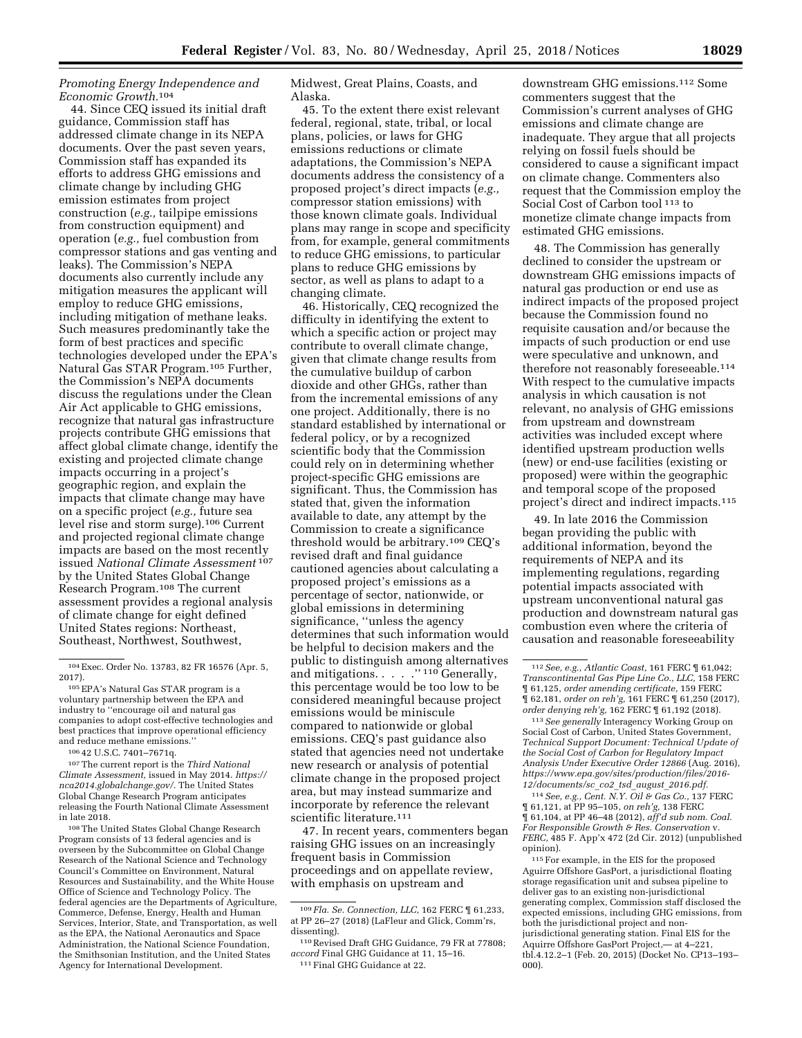## *Promoting Energy Independence and Economic Growth.*104

44. Since CEQ issued its initial draft guidance, Commission staff has addressed climate change in its NEPA documents. Over the past seven years, Commission staff has expanded its efforts to address GHG emissions and climate change by including GHG emission estimates from project construction (*e.g.,* tailpipe emissions from construction equipment) and operation (*e.g.,* fuel combustion from compressor stations and gas venting and leaks). The Commission's NEPA documents also currently include any mitigation measures the applicant will employ to reduce GHG emissions, including mitigation of methane leaks. Such measures predominantly take the form of best practices and specific technologies developed under the EPA's Natural Gas STAR Program.105 Further, the Commission's NEPA documents discuss the regulations under the Clean Air Act applicable to GHG emissions, recognize that natural gas infrastructure projects contribute GHG emissions that affect global climate change, identify the existing and projected climate change impacts occurring in a project's geographic region, and explain the impacts that climate change may have on a specific project (*e.g.,* future sea level rise and storm surge).106 Current and projected regional climate change impacts are based on the most recently issued *National Climate Assessment* 107 by the United States Global Change Research Program.108 The current assessment provides a regional analysis of climate change for eight defined United States regions: Northeast, Southeast, Northwest, Southwest,

108The United States Global Change Research Program consists of 13 federal agencies and is overseen by the Subcommittee on Global Change Research of the National Science and Technology Council's Committee on Environment, Natural Resources and Sustainability, and the White House Office of Science and Technology Policy. The federal agencies are the Departments of Agriculture, Commerce, Defense, Energy, Health and Human Services, Interior, State, and Transportation, as well as the EPA, the National Aeronautics and Space Administration, the National Science Foundation, the Smithsonian Institution, and the United States Agency for International Development.

Midwest, Great Plains, Coasts, and Alaska.

45. To the extent there exist relevant federal, regional, state, tribal, or local plans, policies, or laws for GHG emissions reductions or climate adaptations, the Commission's NEPA documents address the consistency of a proposed project's direct impacts (*e.g.,*  compressor station emissions) with those known climate goals. Individual plans may range in scope and specificity from, for example, general commitments to reduce GHG emissions, to particular plans to reduce GHG emissions by sector, as well as plans to adapt to a changing climate.

46. Historically, CEQ recognized the difficulty in identifying the extent to which a specific action or project may contribute to overall climate change, given that climate change results from the cumulative buildup of carbon dioxide and other GHGs, rather than from the incremental emissions of any one project. Additionally, there is no standard established by international or federal policy, or by a recognized scientific body that the Commission could rely on in determining whether project-specific GHG emissions are significant. Thus, the Commission has stated that, given the information available to date, any attempt by the Commission to create a significance threshold would be arbitrary.109 CEQ's revised draft and final guidance cautioned agencies about calculating a proposed project's emissions as a percentage of sector, nationwide, or global emissions in determining significance, ''unless the agency determines that such information would be helpful to decision makers and the public to distinguish among alternatives and mitigations. . . . . "<sup>110</sup> Generally, this percentage would be too low to be considered meaningful because project emissions would be miniscule compared to nationwide or global emissions. CEQ's past guidance also stated that agencies need not undertake new research or analysis of potential climate change in the proposed project area, but may instead summarize and incorporate by reference the relevant scientific literature.111

47. In recent years, commenters began raising GHG issues on an increasingly frequent basis in Commission proceedings and on appellate review, with emphasis on upstream and

downstream GHG emissions.112 Some commenters suggest that the Commission's current analyses of GHG emissions and climate change are inadequate. They argue that all projects relying on fossil fuels should be considered to cause a significant impact on climate change. Commenters also request that the Commission employ the Social Cost of Carbon tool 113 to monetize climate change impacts from estimated GHG emissions.

48. The Commission has generally declined to consider the upstream or downstream GHG emissions impacts of natural gas production or end use as indirect impacts of the proposed project because the Commission found no requisite causation and/or because the impacts of such production or end use were speculative and unknown, and therefore not reasonably foreseeable.114 With respect to the cumulative impacts analysis in which causation is not relevant, no analysis of GHG emissions from upstream and downstream activities was included except where identified upstream production wells (new) or end-use facilities (existing or proposed) were within the geographic and temporal scope of the proposed project's direct and indirect impacts.115

49. In late 2016 the Commission began providing the public with additional information, beyond the requirements of NEPA and its implementing regulations, regarding potential impacts associated with upstream unconventional natural gas production and downstream natural gas combustion even where the criteria of causation and reasonable foreseeability

113*See generally* Interagency Working Group on Social Cost of Carbon, United States Government, *Technical Support Document: Technical Update of the Social Cost of Carbon for Regulatory Impact Analysis Under Executive Order 12866* (Aug. 2016), *[https://www.epa.gov/sites/production/files/2016-](https://www.epa.gov/sites/production/files/2016-12/documents/sc_co2_tsd_august_2016.pdf) [12/documents/sc](https://www.epa.gov/sites/production/files/2016-12/documents/sc_co2_tsd_august_2016.pdf)*\_*co2*\_*tsd*\_*august*\_*2016.pdf.* 

114*See, e.g., Cent. N.Y. Oil & Gas Co.,* 137 FERC ¶ 61,121, at PP 95–105, *on reh'g,* 138 FERC ¶ 61,104, at PP 46–48 (2012), *aff'd sub nom. Coal. For Responsible Growth & Res. Conservation* v. *FERC,* 485 F. App'x 472 (2d Cir. 2012) (unpublished opinion).

115For example, in the EIS for the proposed Aguirre Offshore GasPort, a jurisdictional floating storage regasification unit and subsea pipeline to deliver gas to an existing non-jurisdictional generating complex, Commission staff disclosed the expected emissions, including GHG emissions, from both the jurisdictional project and nonjurisdictional generating station. Final EIS for the Aquirre Offshore GasPort Project,— at 4–221, tbl.4.12.2–1 (Feb. 20, 2015) (Docket No. CP13–193– 000).

<sup>104</sup>Exec. Order No. 13783, 82 FR 16576 (Apr. 5, 2017).

<sup>105</sup>EPA's Natural Gas STAR program is a voluntary partnership between the EPA and industry to ''encourage oil and natural gas companies to adopt cost-effective technologies and best practices that improve operational efficiency and reduce methane emissions.''

<sup>106</sup> 42 U.S.C. 7401–7671q.

<sup>107</sup>The current report is the *Third National Climate Assessment,* issued in May 2014. *[https://](https://nca2014.globalchange.gov/) [nca2014.globalchange.gov/.](https://nca2014.globalchange.gov/)* The United States Global Change Research Program anticipates releasing the Fourth National Climate Assessment in late 2018.

<sup>109</sup> *Fla. Se. Connection, LLC,* 162 FERC ¶ 61,233, at PP 26–27 (2018) (LaFleur and Glick, Comm'rs, dissenting).

<sup>110</sup>Revised Draft GHG Guidance, 79 FR at 77808; *accord* Final GHG Guidance at 11, 15–16. 111Final GHG Guidance at 22.

<sup>112</sup>*See, e.g., Atlantic Coast,* 161 FERC ¶ 61,042; *Transcontinental Gas Pipe Line Co., LLC,* 158 FERC ¶ 61,125, *order amending certificate,* 159 FERC ¶ 62,181, *order on reh'g,* 161 FERC ¶ 61,250 (2017), *order denying reh'g,* 162 FERC ¶ 61,192 (2018).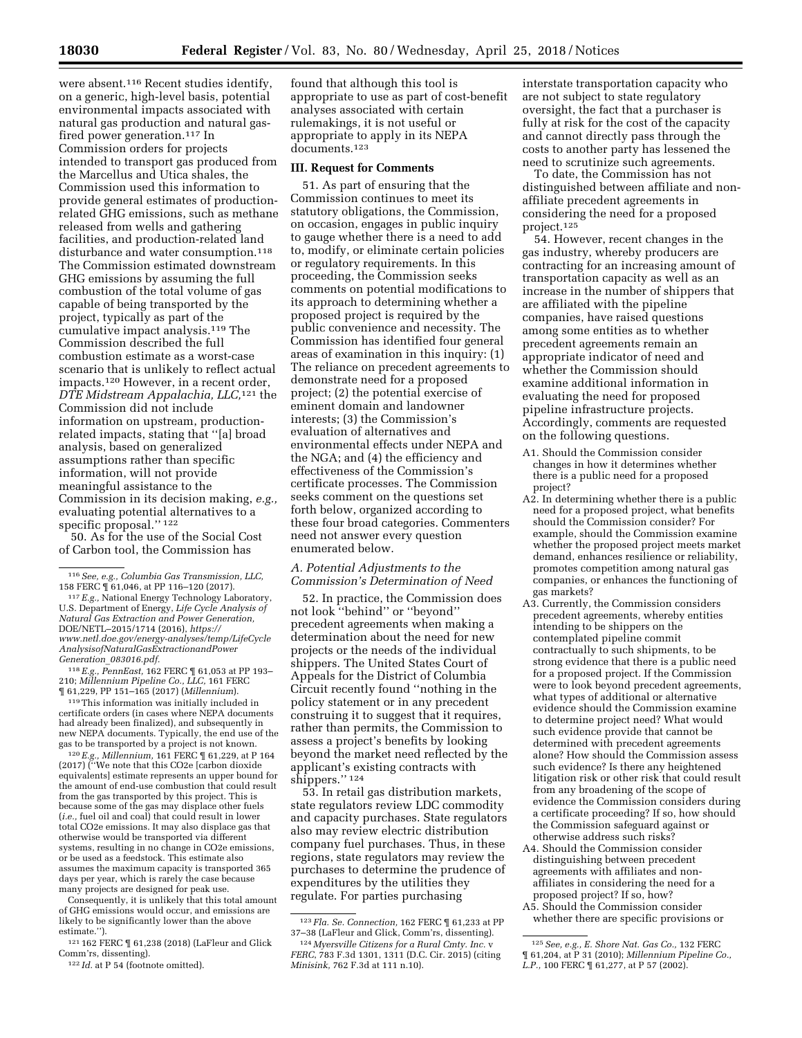were absent.116 Recent studies identify, on a generic, high-level basis, potential environmental impacts associated with natural gas production and natural gasfired power generation.117 In Commission orders for projects intended to transport gas produced from the Marcellus and Utica shales, the Commission used this information to provide general estimates of productionrelated GHG emissions, such as methane released from wells and gathering facilities, and production-related land disturbance and water consumption.<sup>118</sup> The Commission estimated downstream GHG emissions by assuming the full combustion of the total volume of gas capable of being transported by the project, typically as part of the cumulative impact analysis.119 The Commission described the full combustion estimate as a worst-case scenario that is unlikely to reflect actual impacts.120 However, in a recent order, *DTE Midstream Appalachia, LLC,*121 the Commission did not include information on upstream, productionrelated impacts, stating that ''[a] broad analysis, based on generalized assumptions rather than specific information, will not provide meaningful assistance to the Commission in its decision making, *e.g.,*  evaluating potential alternatives to a specific proposal.'' 122

50. As for the use of the Social Cost of Carbon tool, the Commission has

118*E.g., PennEast,* 162 FERC ¶ 61,053 at PP 193– 210; *Millennium Pipeline Co., LLC,* 161 FERC

<sup>119</sup> This information was initially included in certificate orders (in cases where NEPA documents had already been finalized), and subsequently in new NEPA documents. Typically, the end use of the

gas to be transported by a project is not known.<br><sup>120</sup>*E.g., Millennium,* 161 FERC ¶ 61,229, at P 164<br>(2017) (''We note that this CO2e [carbon dioxide equivalents] estimate represents an upper bound for the amount of end-use combustion that could result from the gas transported by this project. This is because some of the gas may displace other fuels (*i.e.,* fuel oil and coal) that could result in lower total CO2e emissions. It may also displace gas that otherwise would be transported via different systems, resulting in no change in CO2e emissions, or be used as a feedstock. This estimate also assumes the maximum capacity is transported 365 days per year, which is rarely the case because many projects are designed for peak use.

Consequently, it is unlikely that this total amount of GHG emissions would occur, and emissions are likely to be significantly lower than the above estimate.'').

121 162 FERC ¶ 61,238 (2018) (LaFleur and Glick Comm'rs, dissenting).

found that although this tool is appropriate to use as part of cost-benefit analyses associated with certain rulemakings, it is not useful or appropriate to apply in its NEPA documents.123

#### **III. Request for Comments**

51. As part of ensuring that the Commission continues to meet its statutory obligations, the Commission, on occasion, engages in public inquiry to gauge whether there is a need to add to, modify, or eliminate certain policies or regulatory requirements. In this proceeding, the Commission seeks comments on potential modifications to its approach to determining whether a proposed project is required by the public convenience and necessity. The Commission has identified four general areas of examination in this inquiry: (1) The reliance on precedent agreements to demonstrate need for a proposed project; (2) the potential exercise of eminent domain and landowner interests; (3) the Commission's evaluation of alternatives and environmental effects under NEPA and the NGA; and (4) the efficiency and effectiveness of the Commission's certificate processes. The Commission seeks comment on the questions set forth below, organized according to these four broad categories. Commenters need not answer every question enumerated below.

#### *A. Potential Adjustments to the Commission's Determination of Need*

52. In practice, the Commission does not look ''behind'' or ''beyond'' precedent agreements when making a determination about the need for new projects or the needs of the individual shippers. The United States Court of Appeals for the District of Columbia Circuit recently found ''nothing in the policy statement or in any precedent construing it to suggest that it requires, rather than permits, the Commission to assess a project's benefits by looking beyond the market need reflected by the applicant's existing contracts with shippers.'' 124

53. In retail gas distribution markets, state regulators review LDC commodity and capacity purchases. State regulators also may review electric distribution company fuel purchases. Thus, in these regions, state regulators may review the purchases to determine the prudence of expenditures by the utilities they regulate. For parties purchasing

interstate transportation capacity who are not subject to state regulatory oversight, the fact that a purchaser is fully at risk for the cost of the capacity and cannot directly pass through the costs to another party has lessened the need to scrutinize such agreements.

To date, the Commission has not distinguished between affiliate and nonaffiliate precedent agreements in considering the need for a proposed project.125

54. However, recent changes in the gas industry, whereby producers are contracting for an increasing amount of transportation capacity as well as an increase in the number of shippers that are affiliated with the pipeline companies, have raised questions among some entities as to whether precedent agreements remain an appropriate indicator of need and whether the Commission should examine additional information in evaluating the need for proposed pipeline infrastructure projects. Accordingly, comments are requested on the following questions.

- A1. Should the Commission consider changes in how it determines whether there is a public need for a proposed project?
- A2. In determining whether there is a public need for a proposed project, what benefits should the Commission consider? For example, should the Commission examine whether the proposed project meets market demand, enhances resilience or reliability, promotes competition among natural gas companies, or enhances the functioning of gas markets?
- A3. Currently, the Commission considers precedent agreements, whereby entities intending to be shippers on the contemplated pipeline commit contractually to such shipments, to be strong evidence that there is a public need for a proposed project. If the Commission were to look beyond precedent agreements, what types of additional or alternative evidence should the Commission examine to determine project need? What would such evidence provide that cannot be determined with precedent agreements alone? How should the Commission assess such evidence? Is there any heightened litigation risk or other risk that could result from any broadening of the scope of evidence the Commission considers during a certificate proceeding? If so, how should the Commission safeguard against or otherwise address such risks?
- A4. Should the Commission consider distinguishing between precedent agreements with affiliates and nonaffiliates in considering the need for a proposed project? If so, how?
- A5. Should the Commission consider whether there are specific provisions or

<sup>116</sup>*See, e.g., Columbia Gas Transmission, LLC,* 

<sup>158</sup> FERC ¶ 61,046, at PP 116–120 (2017). 117*E.g.,* National Energy Technology Laboratory, U.S. Department of Energy, *Life Cycle Analysis of Natural Gas Extraction and Power Generation,*  DOE/NETL–2015/1714 (2016), *[https://](https://www.netl.doe.gov/energy-analyses/temp/LifeCycleAnalysisofNaturalGasExtractionandPowerGeneration_083016.pdf) [www.netl.doe.gov/energy-analyses/temp/LifeCycle](https://www.netl.doe.gov/energy-analyses/temp/LifeCycleAnalysisofNaturalGasExtractionandPowerGeneration_083016.pdf) [AnalysisofNaturalGasExtractionandPower](https://www.netl.doe.gov/energy-analyses/temp/LifeCycleAnalysisofNaturalGasExtractionandPowerGeneration_083016.pdf) Generation*\_*[083016.pdf.](https://www.netl.doe.gov/energy-analyses/temp/LifeCycleAnalysisofNaturalGasExtractionandPowerGeneration_083016.pdf)* 

<sup>122</sup> *Id.* at P 54 (footnote omitted).

<sup>123</sup> *Fla. Se. Connection,* 162 FERC ¶ 61,233 at PP 37–38 (LaFleur and Glick, Comm'rs, dissenting).

<sup>124</sup> *Myersville Citizens for a Rural Cmty. Inc.* v *FERC*, 783 F.3d 1301, 1311 (D.C. Cir. 2015) (citing *Minisink,* 762 F.3d at 111 n.10).

<sup>125</sup>*See, e.g., E. Shore Nat. Gas Co.,* 132 FERC ¶ 61,204, at P 31 (2010); *Millennium Pipeline Co., L.P.,* 100 FERC ¶ 61,277, at P 57 (2002).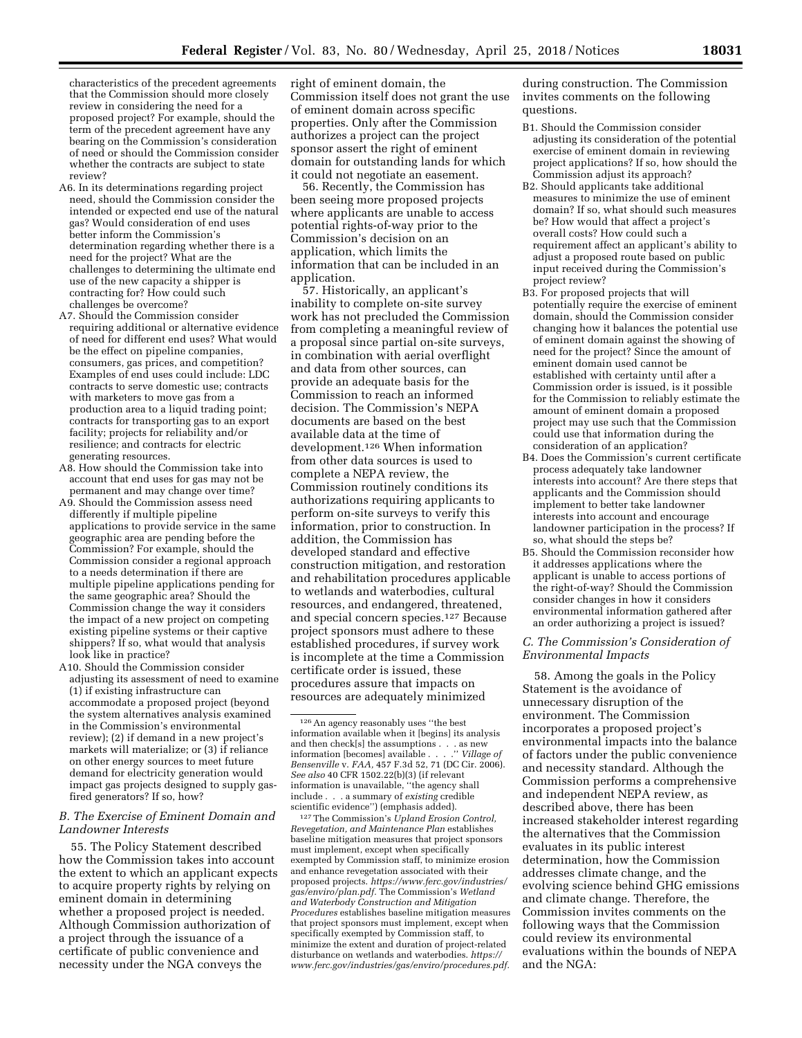characteristics of the precedent agreements that the Commission should more closely review in considering the need for a proposed project? For example, should the term of the precedent agreement have any bearing on the Commission's consideration of need or should the Commission consider whether the contracts are subject to state review?

- A6. In its determinations regarding project need, should the Commission consider the intended or expected end use of the natural gas? Would consideration of end uses better inform the Commission's determination regarding whether there is a need for the project? What are the challenges to determining the ultimate end use of the new capacity a shipper is contracting for? How could such challenges be overcome?
- A7. Should the Commission consider requiring additional or alternative evidence of need for different end uses? What would be the effect on pipeline companies, consumers, gas prices, and competition? Examples of end uses could include: LDC contracts to serve domestic use; contracts with marketers to move gas from a production area to a liquid trading point; contracts for transporting gas to an export facility; projects for reliability and/or resilience; and contracts for electric generating resources.
- A8. How should the Commission take into account that end uses for gas may not be permanent and may change over time?
- A9. Should the Commission assess need differently if multiple pipeline applications to provide service in the same geographic area are pending before the Commission? For example, should the Commission consider a regional approach to a needs determination if there are multiple pipeline applications pending for the same geographic area? Should the Commission change the way it considers the impact of a new project on competing existing pipeline systems or their captive shippers? If so, what would that analysis look like in practice?
- A10. Should the Commission consider adjusting its assessment of need to examine (1) if existing infrastructure can accommodate a proposed project (beyond the system alternatives analysis examined in the Commission's environmental review); (2) if demand in a new project's markets will materialize; or (3) if reliance on other energy sources to meet future demand for electricity generation would impact gas projects designed to supply gasfired generators? If so, how?

## *B. The Exercise of Eminent Domain and Landowner Interests*

55. The Policy Statement described how the Commission takes into account the extent to which an applicant expects to acquire property rights by relying on eminent domain in determining whether a proposed project is needed. Although Commission authorization of a project through the issuance of a certificate of public convenience and necessity under the NGA conveys the

right of eminent domain, the Commission itself does not grant the use of eminent domain across specific properties. Only after the Commission authorizes a project can the project sponsor assert the right of eminent domain for outstanding lands for which it could not negotiate an easement.

56. Recently, the Commission has been seeing more proposed projects where applicants are unable to access potential rights-of-way prior to the Commission's decision on an application, which limits the information that can be included in an application.

57. Historically, an applicant's inability to complete on-site survey work has not precluded the Commission from completing a meaningful review of a proposal since partial on-site surveys, in combination with aerial overflight and data from other sources, can provide an adequate basis for the Commission to reach an informed decision. The Commission's NEPA documents are based on the best available data at the time of development.126 When information from other data sources is used to complete a NEPA review, the Commission routinely conditions its authorizations requiring applicants to perform on-site surveys to verify this information, prior to construction. In addition, the Commission has developed standard and effective construction mitigation, and restoration and rehabilitation procedures applicable to wetlands and waterbodies, cultural resources, and endangered, threatened, and special concern species.127 Because project sponsors must adhere to these established procedures, if survey work is incomplete at the time a Commission certificate order is issued, these procedures assure that impacts on resources are adequately minimized

127The Commission's *Upland Erosion Control, Revegetation, and Maintenance Plan* establishes baseline mitigation measures that project sponsors must implement, except when specifically exempted by Commission staff, to minimize erosion and enhance revegetation associated with their proposed projects. *[https://www.ferc.gov/industries/](https://www.ferc.gov/industries/gas/enviro/plan.pdf) [gas/enviro/plan.pdf.](https://www.ferc.gov/industries/gas/enviro/plan.pdf)* The Commission's *Wetland and Waterbody Construction and Mitigation Procedures* establishes baseline mitigation measures that project sponsors must implement, except when specifically exempted by Commission staff, to minimize the extent and duration of project-related disturbance on wetlands and waterbodies. *[https://](https://www.ferc.gov/industries/gas/enviro/procedures.pdf) [www.ferc.gov/industries/gas/enviro/procedures.pdf.](https://www.ferc.gov/industries/gas/enviro/procedures.pdf)* 

during construction. The Commission invites comments on the following questions.

- B1. Should the Commission consider adjusting its consideration of the potential exercise of eminent domain in reviewing project applications? If so, how should the Commission adjust its approach?
- B2. Should applicants take additional measures to minimize the use of eminent domain? If so, what should such measures be? How would that affect a project's overall costs? How could such a requirement affect an applicant's ability to adjust a proposed route based on public input received during the Commission's project review?
- B3. For proposed projects that will potentially require the exercise of eminent domain, should the Commission consider changing how it balances the potential use of eminent domain against the showing of need for the project? Since the amount of eminent domain used cannot be established with certainty until after a Commission order is issued, is it possible for the Commission to reliably estimate the amount of eminent domain a proposed project may use such that the Commission could use that information during the consideration of an application?
- B4. Does the Commission's current certificate process adequately take landowner interests into account? Are there steps that applicants and the Commission should implement to better take landowner interests into account and encourage landowner participation in the process? If so, what should the steps be?
- B5. Should the Commission reconsider how it addresses applications where the applicant is unable to access portions of the right-of-way? Should the Commission consider changes in how it considers environmental information gathered after an order authorizing a project is issued?

# *C. The Commission's Consideration of Environmental Impacts*

58. Among the goals in the Policy Statement is the avoidance of unnecessary disruption of the environment. The Commission incorporates a proposed project's environmental impacts into the balance of factors under the public convenience and necessity standard. Although the Commission performs a comprehensive and independent NEPA review, as described above, there has been increased stakeholder interest regarding the alternatives that the Commission evaluates in its public interest determination, how the Commission addresses climate change, and the evolving science behind GHG emissions and climate change. Therefore, the Commission invites comments on the following ways that the Commission could review its environmental evaluations within the bounds of NEPA and the NGA:

<sup>126</sup>An agency reasonably uses ''the best information available when it [begins] its analysis and then check[s] the assumptions . . . as new information [becomes] available . . . . " Village of information [becomes] available . . *Bensenville* v. *FAA,* 457 F.3d 52, 71 (DC Cir. 2006). *See also* 40 CFR 1502.22(b)(3) (if relevant information is unavailable, ''the agency shall include . . . a summary of *existing* credible scientific evidence'') (emphasis added).